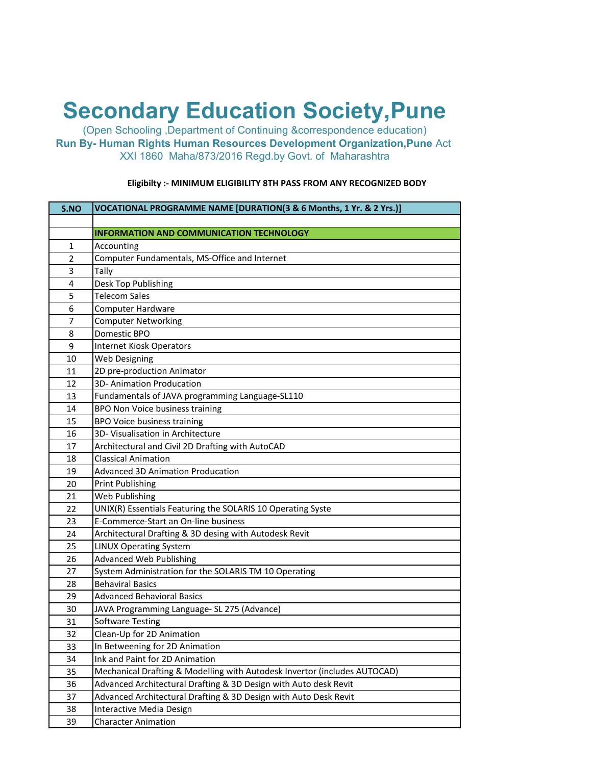## **Secondary Education Society,Pune**

(Open Schooling ,Department of Continuing &correspondence education) **Run By- Human Rights Human Resources Development Organization,Pune** Act XXI 1860 Maha/873/2016 Regd.by Govt. of Maharashtra

| S.NO           | VOCATIONAL PROGRAMME NAME [DURATION(3 & 6 Months, 1 Yr. & 2 Yrs.)]        |
|----------------|---------------------------------------------------------------------------|
|                |                                                                           |
|                | <b>INFORMATION AND COMMUNICATION TECHNOLOGY</b>                           |
| $\mathbf{1}$   | Accounting                                                                |
| $\overline{2}$ | Computer Fundamentals, MS-Office and Internet                             |
| 3              | Tally                                                                     |
| 4              | Desk Top Publishing                                                       |
| 5              | <b>Telecom Sales</b>                                                      |
| 6              | <b>Computer Hardware</b>                                                  |
| 7              | <b>Computer Networking</b>                                                |
| 8              | Domestic BPO                                                              |
| 9              | Internet Kiosk Operators                                                  |
| 10             | Web Designing                                                             |
| 11             | 2D pre-production Animator                                                |
| 12             | 3D- Animation Producation                                                 |
| 13             | Fundamentals of JAVA programming Language-SL110                           |
| 14             | <b>BPO Non Voice business training</b>                                    |
| 15             | <b>BPO Voice business training</b>                                        |
| 16             | 3D- Visualisation in Architecture                                         |
| 17             | Architectural and Civil 2D Drafting with AutoCAD                          |
| 18             | <b>Classical Animation</b>                                                |
| 19             | <b>Advanced 3D Animation Producation</b>                                  |
| 20             | <b>Print Publishing</b>                                                   |
| 21             | Web Publishing                                                            |
| 22             | UNIX(R) Essentials Featuring the SOLARIS 10 Operating Syste               |
| 23             | E-Commerce-Start an On-line business                                      |
| 24             | Architectural Drafting & 3D desing with Autodesk Revit                    |
| 25             | <b>LINUX Operating System</b>                                             |
| 26             | <b>Advanced Web Publishing</b>                                            |
| 27             | System Administration for the SOLARIS TM 10 Operating                     |
| 28             | <b>Behaviral Basics</b>                                                   |
| 29             | <b>Advanced Behavioral Basics</b>                                         |
| 30             | JAVA Programming Language- SL 275 (Advance)                               |
| 31             | <b>Software Testing</b>                                                   |
| 32             | Clean-Up for 2D Animation                                                 |
| 33             | In Betweening for 2D Animation                                            |
| 34             | Ink and Paint for 2D Animation                                            |
| 35             | Mechanical Drafting & Modelling with Autodesk Invertor (includes AUTOCAD) |
| 36             | Advanced Architectural Drafting & 3D Design with Auto desk Revit          |
| 37             | Advanced Architectural Drafting & 3D Design with Auto Desk Revit          |
| 38             | Interactive Media Design                                                  |
| 39             | <b>Character Animation</b>                                                |

## **Eligibilty :- MINIMUM ELIGIBILITY 8TH PASS FROM ANY RECOGNIZED BODY**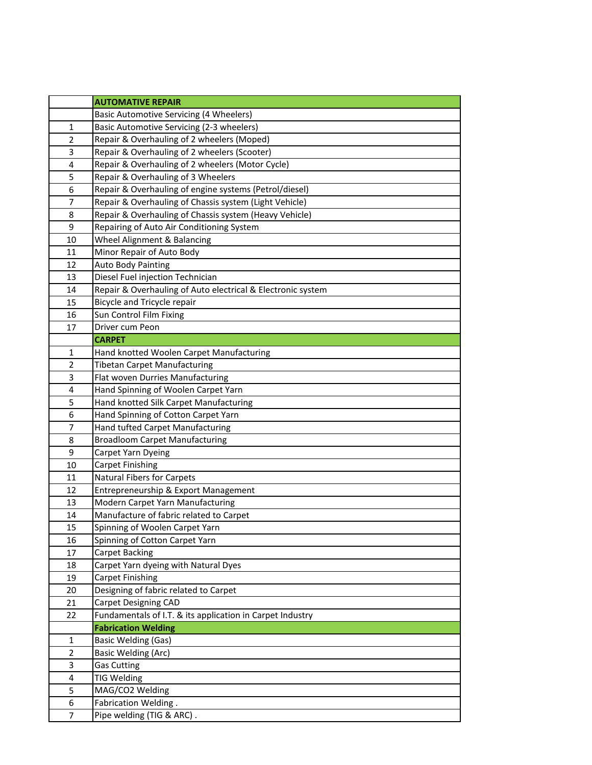|                         | <b>AUTOMATIVE REPAIR</b>                                    |
|-------------------------|-------------------------------------------------------------|
|                         | <b>Basic Automotive Servicing (4 Wheelers)</b>              |
| 1                       | Basic Automotive Servicing (2-3 wheelers)                   |
| $\overline{2}$          | Repair & Overhauling of 2 wheelers (Moped)                  |
| 3                       | Repair & Overhauling of 2 wheelers (Scooter)                |
| 4                       | Repair & Overhauling of 2 wheelers (Motor Cycle)            |
| 5                       | Repair & Overhauling of 3 Wheelers                          |
| 6                       | Repair & Overhauling of engine systems (Petrol/diesel)      |
| 7                       | Repair & Overhauling of Chassis system (Light Vehicle)      |
| 8                       | Repair & Overhauling of Chassis system (Heavy Vehicle)      |
| 9                       | Repairing of Auto Air Conditioning System                   |
| 10                      | Wheel Alignment & Balancing                                 |
| 11                      | Minor Repair of Auto Body                                   |
| 12                      | <b>Auto Body Painting</b>                                   |
| 13                      | Diesel Fuel injection Technician                            |
| 14                      | Repair & Overhauling of Auto electrical & Electronic system |
| 15                      | Bicycle and Tricycle repair                                 |
| 16                      | Sun Control Film Fixing                                     |
| 17                      | Driver cum Peon                                             |
|                         | <b>CARPET</b>                                               |
| 1                       | Hand knotted Woolen Carpet Manufacturing                    |
| $\overline{2}$          | <b>Tibetan Carpet Manufacturing</b>                         |
| 3                       | Flat woven Durries Manufacturing                            |
| $\overline{\mathbf{4}}$ | Hand Spinning of Woolen Carpet Yarn                         |
| 5                       | Hand knotted Silk Carpet Manufacturing                      |
| 6                       | Hand Spinning of Cotton Carpet Yarn                         |
| 7                       | Hand tufted Carpet Manufacturing                            |
| 8                       | <b>Broadloom Carpet Manufacturing</b>                       |
| 9                       | Carpet Yarn Dyeing                                          |
| 10                      | <b>Carpet Finishing</b>                                     |
| 11                      | <b>Natural Fibers for Carpets</b>                           |
| 12                      | Entrepreneurship & Export Management                        |
| 13                      | Modern Carpet Yarn Manufacturing                            |
| 14                      | Manufacture of fabric related to Carpet                     |
| 15                      | Spinning of Woolen Carpet Yarn                              |
| 16                      | Spinning of Cotton Carpet Yarn                              |
| 17                      | Carpet Backing                                              |
| 18                      | Carpet Yarn dyeing with Natural Dyes                        |
| 19                      | Carpet Finishing                                            |
| 20                      | Designing of fabric related to Carpet                       |
| 21                      | Carpet Designing CAD                                        |
| 22                      | Fundamentals of I.T. & its application in Carpet Industry   |
|                         | <b>Fabrication Welding</b>                                  |
| $\mathbf{1}$            | <b>Basic Welding (Gas)</b>                                  |
| $\overline{2}$          | <b>Basic Welding (Arc)</b>                                  |
| 3                       | <b>Gas Cutting</b>                                          |
| 4                       | <b>TIG Welding</b>                                          |
| 5                       | MAG/CO2 Welding                                             |
| 6                       | Fabrication Welding.                                        |
| $\overline{7}$          | Pipe welding (TIG & ARC).                                   |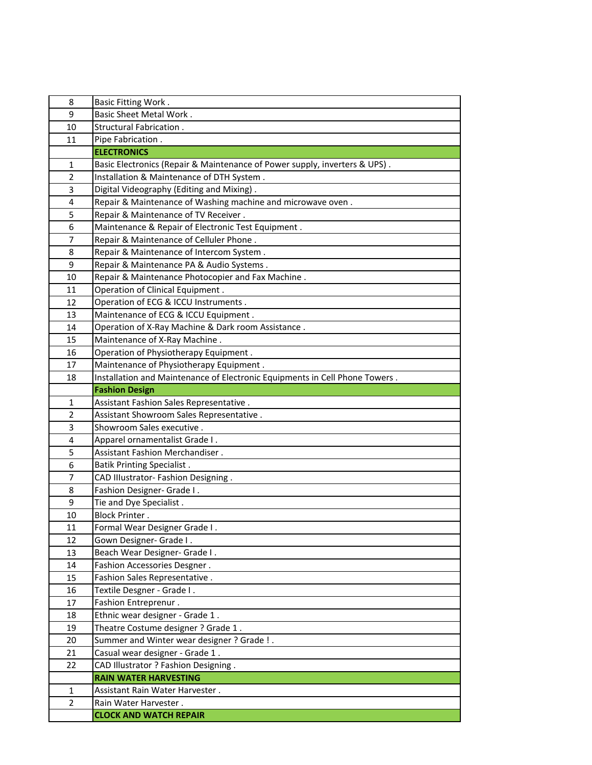| 8              | <b>Basic Fitting Work.</b>                                                  |
|----------------|-----------------------------------------------------------------------------|
| 9              | <b>Basic Sheet Metal Work.</b>                                              |
| 10             | Structural Fabrication.                                                     |
| 11             | Pipe Fabrication.                                                           |
|                | <b>ELECTRONICS</b>                                                          |
| 1              | Basic Electronics (Repair & Maintenance of Power supply, inverters & UPS).  |
| $\overline{2}$ | Installation & Maintenance of DTH System.                                   |
| 3              | Digital Videography (Editing and Mixing).                                   |
| 4              | Repair & Maintenance of Washing machine and microwave oven.                 |
| 5              | Repair & Maintenance of TV Receiver.                                        |
| 6              | Maintenance & Repair of Electronic Test Equipment.                          |
| $\overline{7}$ | Repair & Maintenance of Celluler Phone.                                     |
| 8              | Repair & Maintenance of Intercom System.                                    |
| 9              | Repair & Maintenance PA & Audio Systems.                                    |
| 10             | Repair & Maintenance Photocopier and Fax Machine.                           |
| 11             | Operation of Clinical Equipment.                                            |
| 12             | Operation of ECG & ICCU Instruments.                                        |
| 13             | Maintenance of ECG & ICCU Equipment.                                        |
| 14             | Operation of X-Ray Machine & Dark room Assistance.                          |
| 15             | Maintenance of X-Ray Machine.                                               |
| 16             | Operation of Physiotherapy Equipment.                                       |
| 17             | Maintenance of Physiotherapy Equipment.                                     |
| 18             | Installation and Maintenance of Electronic Equipments in Cell Phone Towers. |
|                | <b>Fashion Design</b>                                                       |
| 1              | Assistant Fashion Sales Representative.                                     |
| $\overline{2}$ | Assistant Showroom Sales Representative.                                    |
| 3              | Showroom Sales executive.                                                   |
| 4              | Apparel ornamentalist Grade I.                                              |
| 5              | Assistant Fashion Merchandiser.                                             |
| 6              | <b>Batik Printing Specialist.</b>                                           |
| $\overline{7}$ | CAD Illustrator- Fashion Designing.                                         |
| 8              | Fashion Designer- Grade I.                                                  |
| 9              | Tie and Dye Specialist.                                                     |
| 10             | <b>Block Printer.</b>                                                       |
| 11             | Formal Wear Designer Grade I.                                               |
| 12             | Gown Designer- Grade I.                                                     |
| 13             | Beach Wear Designer- Grade I.                                               |
| 14             | Fashion Accessories Desgner.                                                |
| 15             | Fashion Sales Representative.                                               |
| 16<br>17       | Textile Desgner - Grade I.                                                  |
|                | Fashion Entreprenur.<br>Ethnic wear designer - Grade 1.                     |
| 18             | Theatre Costume designer ? Grade 1.                                         |
| 19<br>20       | Summer and Winter wear designer? Grade !.                                   |
| 21             | Casual wear designer - Grade 1.                                             |
| 22             | CAD Illustrator ? Fashion Designing .                                       |
|                | <b>RAIN WATER HARVESTING</b>                                                |
| 1              | Assistant Rain Water Harvester.                                             |
| $\overline{2}$ | Rain Water Harvester.                                                       |
|                | <b>CLOCK AND WATCH REPAIR</b>                                               |
|                |                                                                             |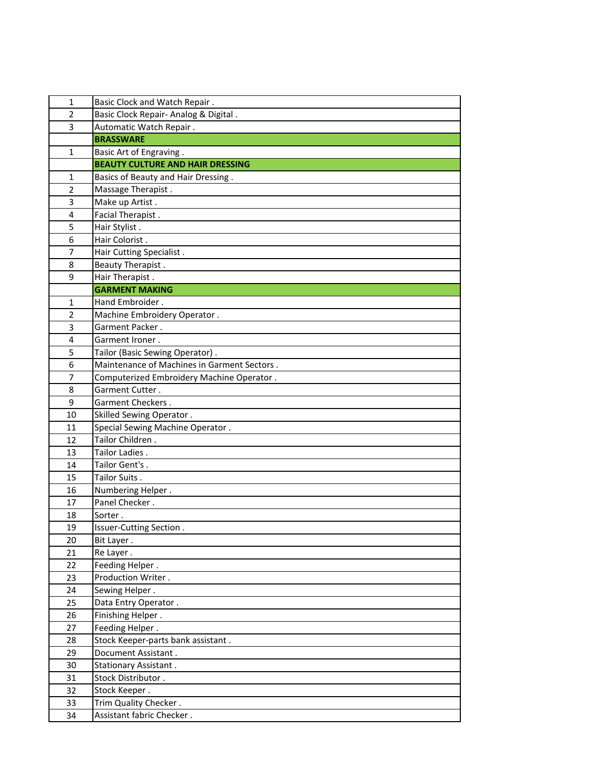| 1              | Basic Clock and Watch Repair.                      |
|----------------|----------------------------------------------------|
| $\overline{2}$ | Basic Clock Repair- Analog & Digital.              |
| 3              | Automatic Watch Repair.                            |
|                | <b>BRASSWARE</b>                                   |
| 1              | Basic Art of Engraving.                            |
|                | <b>BEAUTY CULTURE AND HAIR DRESSING</b>            |
| 1              | Basics of Beauty and Hair Dressing.                |
| $\overline{2}$ | Massage Therapist.                                 |
| 3              | Make up Artist.                                    |
| 4              | Facial Therapist.                                  |
| 5              | Hair Stylist.                                      |
| 6              | Hair Colorist.                                     |
| $\overline{7}$ | Hair Cutting Specialist.                           |
| 8              | Beauty Therapist.                                  |
| 9              | Hair Therapist.                                    |
|                | <b>GARMENT MAKING</b>                              |
| 1              | Hand Embroider.                                    |
| $\overline{2}$ | Machine Embroidery Operator.                       |
| 3              | Garment Packer.                                    |
| 4              | Garment Ironer.                                    |
| 5              | Tailor (Basic Sewing Operator).                    |
| 6              | Maintenance of Machines in Garment Sectors.        |
| 7              | Computerized Embroidery Machine Operator.          |
| 8              | Garment Cutter.                                    |
| 9              | Garment Checkers.                                  |
|                |                                                    |
| 10             | Skilled Sewing Operator.                           |
| 11             | Special Sewing Machine Operator.                   |
| 12             | Tailor Children.                                   |
| 13             | Tailor Ladies.                                     |
| 14             | Tailor Gent's.                                     |
| 15             | Tailor Suits.                                      |
| 16             | Numbering Helper.                                  |
| 17             | Panel Checker.                                     |
| 18             | Sorter.                                            |
| 19             | Issuer-Cutting Section.                            |
| 20             | Bit Layer.                                         |
| 21             | Re Layer.                                          |
| 22             | Feeding Helper.                                    |
| 23             | Production Writer.                                 |
| 24             | Sewing Helper.                                     |
| 25             | Data Entry Operator.                               |
| 26             | Finishing Helper.                                  |
| 27             | Feeding Helper.                                    |
| 28             | Stock Keeper-parts bank assistant.                 |
| 29             | Document Assistant.                                |
| 30             | <b>Stationary Assistant.</b>                       |
| 31             | Stock Distributor.                                 |
| 32             | Stock Keeper.                                      |
| 33<br>34       | Trim Quality Checker.<br>Assistant fabric Checker. |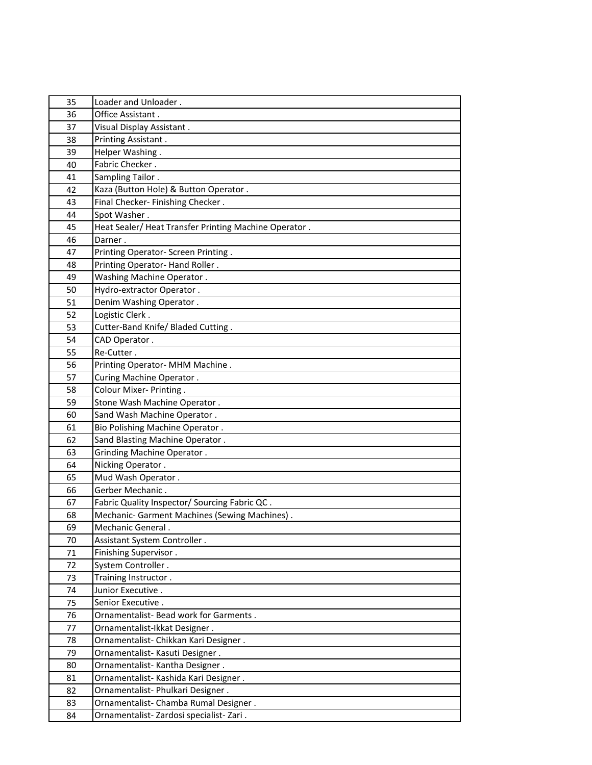| 35 | Loader and Unloader.                                 |
|----|------------------------------------------------------|
| 36 | Office Assistant.                                    |
| 37 | Visual Display Assistant.                            |
| 38 | Printing Assistant.                                  |
| 39 | Helper Washing.                                      |
| 40 | Fabric Checker.                                      |
| 41 | Sampling Tailor.                                     |
| 42 | Kaza (Button Hole) & Button Operator.                |
| 43 | Final Checker- Finishing Checker.                    |
| 44 | Spot Washer.                                         |
| 45 | Heat Sealer/Heat Transfer Printing Machine Operator. |
| 46 | Darner.                                              |
| 47 | Printing Operator- Screen Printing.                  |
| 48 | Printing Operator-Hand Roller.                       |
| 49 | Washing Machine Operator.                            |
| 50 | Hydro-extractor Operator.                            |
| 51 | Denim Washing Operator.                              |
| 52 | Logistic Clerk.                                      |
| 53 | Cutter-Band Knife/ Bladed Cutting.                   |
| 54 | CAD Operator.                                        |
| 55 | Re-Cutter.                                           |
| 56 | Printing Operator- MHM Machine.                      |
| 57 | Curing Machine Operator.                             |
| 58 | Colour Mixer- Printing.                              |
| 59 | Stone Wash Machine Operator.                         |
| 60 | Sand Wash Machine Operator.                          |
| 61 | Bio Polishing Machine Operator.                      |
| 62 | Sand Blasting Machine Operator.                      |
| 63 | Grinding Machine Operator.                           |
| 64 | Nicking Operator.                                    |
| 65 | Mud Wash Operator.                                   |
| 66 | Gerber Mechanic.                                     |
| 67 | Fabric Quality Inspector/ Sourcing Fabric QC.        |
| 68 | Mechanic- Garment Machines (Sewing Machines).        |
| 69 | Mechanic General.                                    |
| 70 | Assistant System Controller.                         |
| 71 | Finishing Supervisor.                                |
| 72 | System Controller.                                   |
| 73 | Training Instructor.                                 |
| 74 | Junior Executive.                                    |
| 75 | Senior Executive.                                    |
| 76 | Ornamentalist- Bead work for Garments.               |
| 77 | Ornamentalist-Ikkat Designer.                        |
| 78 | Ornamentalist- Chikkan Kari Designer.                |
| 79 | Ornamentalist- Kasuti Designer.                      |
| 80 | Ornamentalist- Kantha Designer.                      |
| 81 | Ornamentalist- Kashida Kari Designer.                |
| 82 | Ornamentalist- Phulkari Designer.                    |
| 83 | Ornamentalist- Chamba Rumal Designer.                |
| 84 | Ornamentalist-Zardosi specialist-Zari.               |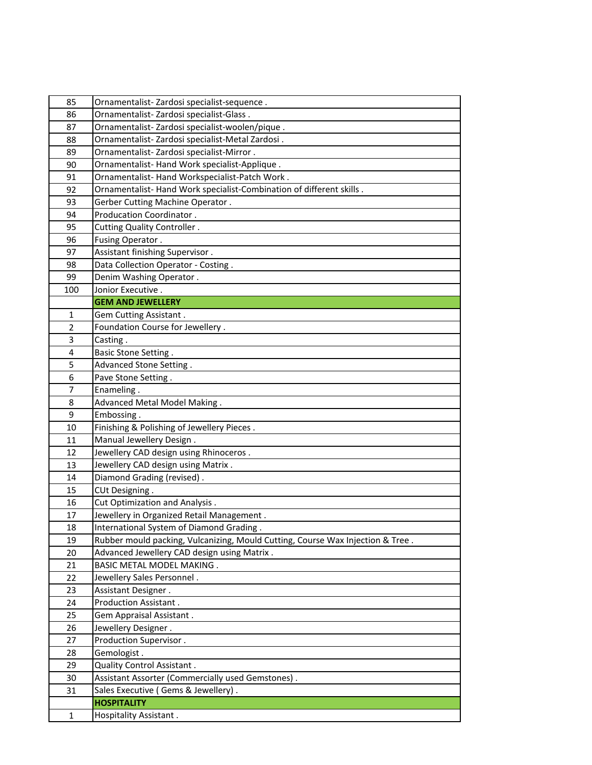| 85             | Ornamentalist-Zardosi specialist-sequence.                                     |
|----------------|--------------------------------------------------------------------------------|
| 86             | Ornamentalist- Zardosi specialist-Glass.                                       |
| 87             | Ornamentalist-Zardosi specialist-woolen/pique.                                 |
| 88             | Ornamentalist-Zardosi specialist-Metal Zardosi.                                |
| 89             | Ornamentalist-Zardosi specialist-Mirror.                                       |
| 90             | Ornamentalist-Hand Work specialist-Applique.                                   |
| 91             | Ornamentalist- Hand Workspecialist-Patch Work.                                 |
| 92             | Ornamentalist-Hand Work specialist-Combination of different skills.            |
| 93             | Gerber Cutting Machine Operator.                                               |
| 94             | Producation Coordinator.                                                       |
| 95             | Cutting Quality Controller.                                                    |
| 96             | Fusing Operator.                                                               |
| 97             | Assistant finishing Supervisor.                                                |
| 98             | Data Collection Operator - Costing.                                            |
| 99             | Denim Washing Operator.                                                        |
| 100            | Jonior Executive.                                                              |
|                | <b>GEM AND JEWELLERY</b>                                                       |
| 1              | Gem Cutting Assistant.                                                         |
| $\overline{2}$ | Foundation Course for Jewellery.                                               |
| 3              | Casting.                                                                       |
| 4              | Basic Stone Setting.                                                           |
| 5              | Advanced Stone Setting.                                                        |
| 6              | Pave Stone Setting.                                                            |
| 7              | Enameling.                                                                     |
| 8              | Advanced Metal Model Making.                                                   |
| 9              | Embossing.                                                                     |
| 10             | Finishing & Polishing of Jewellery Pieces.                                     |
| 11             | Manual Jewellery Design.                                                       |
| 12             | Jewellery CAD design using Rhinoceros.                                         |
| 13             | Jewellery CAD design using Matrix.                                             |
| 14             | Diamond Grading (revised).                                                     |
| 15             | CUt Designing.                                                                 |
| 16             | Cut Optimization and Analysis.                                                 |
| 17             | Jewellery in Organized Retail Management.                                      |
| 18             | International System of Diamond Grading.                                       |
| 19             | Rubber mould packing, Vulcanizing, Mould Cutting, Course Wax Injection & Tree. |
| 20             | Advanced Jewellery CAD design using Matrix.                                    |
| 21             | <b>BASIC METAL MODEL MAKING.</b>                                               |
| 22             | Jewellery Sales Personnel.                                                     |
| 23             | Assistant Designer.                                                            |
| 24             | Production Assistant.                                                          |
| 25             | Gem Appraisal Assistant.                                                       |
| 26             | Jewellery Designer.                                                            |
| 27             | Production Supervisor.                                                         |
| 28             | Gemologist.                                                                    |
| 29             | Quality Control Assistant.                                                     |
| 30             | Assistant Assorter (Commercially used Gemstones).                              |
| 31             | Sales Executive (Gems & Jewellery).                                            |
|                | <b>HOSPITALITY</b>                                                             |
| 1              | Hospitality Assistant.                                                         |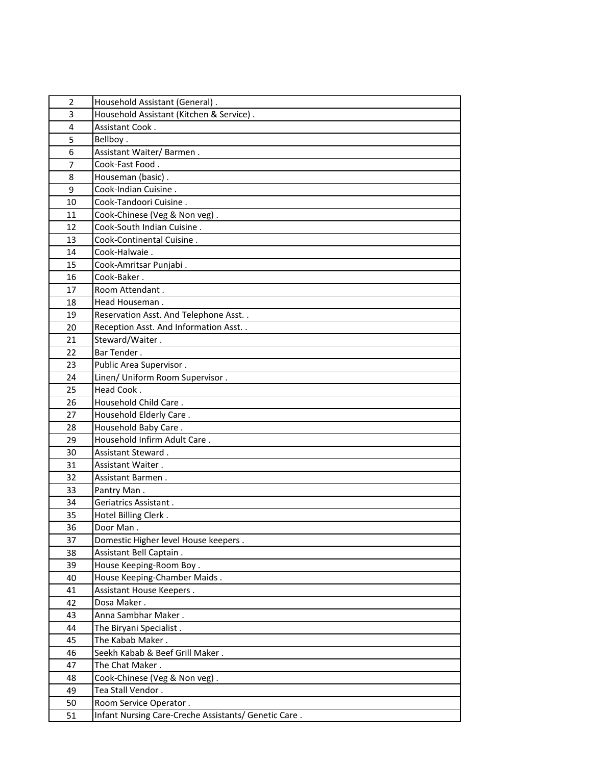| $\overline{2}$ | Household Assistant (General).                       |
|----------------|------------------------------------------------------|
| 3              | Household Assistant (Kitchen & Service).             |
| 4              | Assistant Cook.                                      |
| 5              | Bellboy.                                             |
| 6              | Assistant Waiter/Barmen.                             |
| $\overline{7}$ | Cook-Fast Food.                                      |
| 8              | Houseman (basic).                                    |
| 9              | Cook-Indian Cuisine.                                 |
| 10             | Cook-Tandoori Cuisine.                               |
| 11             | Cook-Chinese (Veg & Non veg).                        |
| 12             | Cook-South Indian Cuisine.                           |
| 13             | Cook-Continental Cuisine.                            |
| 14             | Cook-Halwaie.                                        |
| 15             | Cook-Amritsar Punjabi.                               |
| 16             | Cook-Baker.                                          |
| 17             | Room Attendant.                                      |
| 18             | Head Houseman.                                       |
| 19             | Reservation Asst. And Telephone Asst. .              |
| 20             | Reception Asst. And Information Asst. .              |
| 21             | Steward/Waiter.                                      |
| 22             | Bar Tender.                                          |
| 23             | Public Area Supervisor.                              |
| 24             | Linen/ Uniform Room Supervisor.                      |
| 25             | Head Cook.                                           |
| 26             | Household Child Care.                                |
| 27             | Household Elderly Care.                              |
| 28             | Household Baby Care.                                 |
| 29             | Household Infirm Adult Care.                         |
| 30             | Assistant Steward.                                   |
| 31             | Assistant Waiter.                                    |
| 32             | Assistant Barmen.                                    |
| 33             | Pantry Man.                                          |
| 34             | Geriatrics Assistant.                                |
| 35             | Hotel Billing Clerk.                                 |
| 36             | Door Man.                                            |
| 37             | Domestic Higher level House keepers.                 |
| 38             | Assistant Bell Captain.                              |
| 39             | House Keeping-Room Boy.                              |
| 40             | House Keeping-Chamber Maids.                         |
| 41             | Assistant House Keepers.                             |
| 42             | Dosa Maker.                                          |
| 43             | Anna Sambhar Maker.                                  |
| 44             | The Biryani Specialist.                              |
| 45             | The Kabab Maker.                                     |
| 46             | Seekh Kabab & Beef Grill Maker.                      |
| 47             | The Chat Maker.                                      |
| 48             | Cook-Chinese (Veg & Non veg).                        |
| 49             | Tea Stall Vendor.                                    |
| 50             | Room Service Operator.                               |
| 51             | Infant Nursing Care-Creche Assistants/ Genetic Care. |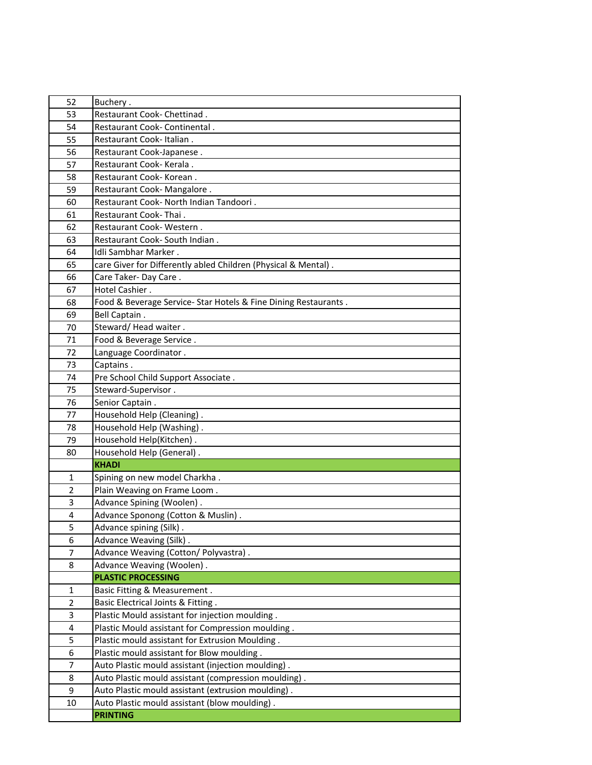| 52             | Buchery.                                                        |
|----------------|-----------------------------------------------------------------|
| 53             | Restaurant Cook- Chettinad.                                     |
| 54             | Restaurant Cook- Continental.                                   |
| 55             | Restaurant Cook-Italian.                                        |
| 56             | Restaurant Cook-Japanese.                                       |
| 57             | Restaurant Cook- Kerala.                                        |
| 58             | Restaurant Cook- Korean.                                        |
| 59             | Restaurant Cook- Mangalore.                                     |
| 60             | Restaurant Cook- North Indian Tandoori.                         |
| 61             | Restaurant Cook-Thai.                                           |
| 62             | Restaurant Cook-Western.                                        |
| 63             | Restaurant Cook- South Indian.                                  |
| 64             | Idli Sambhar Marker.                                            |
| 65             | care Giver for Differently abled Children (Physical & Mental).  |
| 66             | Care Taker-Day Care.                                            |
| 67             | Hotel Cashier.                                                  |
| 68             | Food & Beverage Service- Star Hotels & Fine Dining Restaurants. |
| 69             | Bell Captain.                                                   |
| 70             | Steward/Head waiter.                                            |
| 71             | Food & Beverage Service.                                        |
| 72             | Language Coordinator.                                           |
| 73             | Captains.                                                       |
| 74             | Pre School Child Support Associate.                             |
| 75             | Steward-Supervisor.                                             |
| 76             | Senior Captain.                                                 |
| 77             | Household Help (Cleaning).                                      |
| 78             | Household Help (Washing).                                       |
| 79             | Household Help(Kitchen).                                        |
| 80             | Household Help (General).                                       |
|                | <b>KHADI</b>                                                    |
| 1              | Spining on new model Charkha.                                   |
| $\overline{2}$ | Plain Weaving on Frame Loom.                                    |
| 3              | Advance Spining (Woolen).                                       |
| 4              | Advance Sponong (Cotton & Muslin).                              |
| 5              | Advance spining (Silk).                                         |
| 6              | Advance Weaving (Silk).                                         |
| 7              | Advance Weaving (Cotton/ Polyvastra).                           |
| 8              | Advance Weaving (Woolen).                                       |
|                | <b>PLASTIC PROCESSING</b>                                       |
| $\mathbf{1}$   | Basic Fitting & Measurement.                                    |
| $\overline{2}$ | Basic Electrical Joints & Fitting.                              |
| 3              | Plastic Mould assistant for injection moulding.                 |
| 4              | Plastic Mould assistant for Compression moulding.               |
| 5              | Plastic mould assistant for Extrusion Moulding.                 |
| 6              | Plastic mould assistant for Blow moulding.                      |
| 7              | Auto Plastic mould assistant (injection moulding).              |
| 8              | Auto Plastic mould assistant (compression moulding).            |
| 9              | Auto Plastic mould assistant (extrusion moulding).              |
| 10             | Auto Plastic mould assistant (blow moulding).                   |
|                | <b>PRINTING</b>                                                 |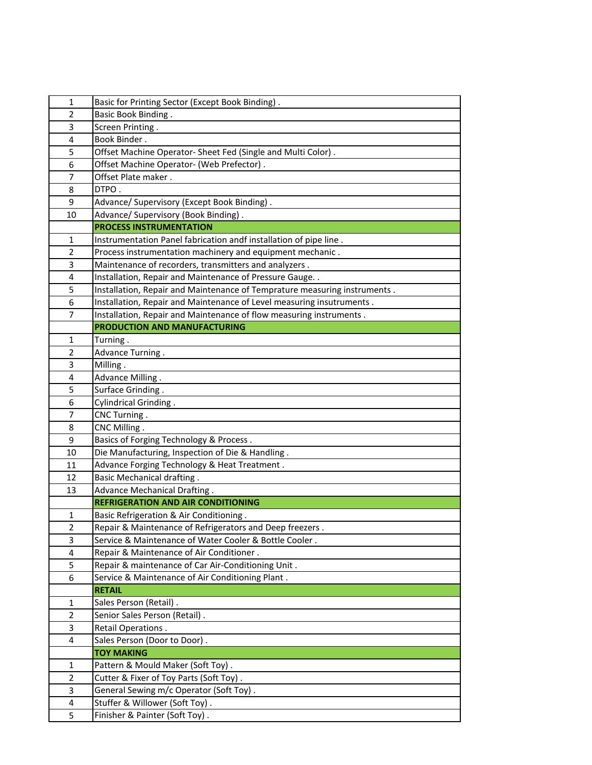| 1              | Basic for Printing Sector (Except Book Binding).                          |
|----------------|---------------------------------------------------------------------------|
| $\overline{2}$ | <b>Basic Book Binding.</b>                                                |
| 3              | Screen Printing.                                                          |
| 4              | Book Binder.                                                              |
| 5              | Offset Machine Operator- Sheet Fed (Single and Multi Color).              |
| 6              | Offset Machine Operator- (Web Prefector).                                 |
| 7              | Offset Plate maker.                                                       |
| 8              | DTPO.                                                                     |
| 9              | Advance/ Supervisory (Except Book Binding).                               |
| 10             | Advance/ Supervisory (Book Binding).                                      |
|                | <b>PROCESS INSTRUMENTATION</b>                                            |
| $\mathbf{1}$   | Instrumentation Panel fabrication andf installation of pipe line.         |
| $\overline{2}$ | Process instrumentation machinery and equipment mechanic.                 |
| 3              | Maintenance of recorders, transmitters and analyzers.                     |
| 4              | Installation, Repair and Maintenance of Pressure Gauge. .                 |
| 5              | Installation, Repair and Maintenance of Temprature measuring instruments. |
| 6              | Installation, Repair and Maintenance of Level measuring insutruments.     |
| 7              | Installation, Repair and Maintenance of flow measuring instruments.       |
|                | <b>PRODUCTION AND MANUFACTURING</b>                                       |
| 1              | Turning.                                                                  |
| $\overline{2}$ | Advance Turning.                                                          |
| 3              | Milling.                                                                  |
| 4              | Advance Milling.                                                          |
| 5              | Surface Grinding.                                                         |
| 6              | Cylindrical Grinding.                                                     |
| 7              | CNC Turning.                                                              |
| 8              | CNC Milling.                                                              |
| 9              | Basics of Forging Technology & Process.                                   |
| 10             | Die Manufacturing, Inspection of Die & Handling.                          |
| 11             | Advance Forging Technology & Heat Treatment.                              |
| 12             | <b>Basic Mechanical drafting.</b>                                         |
| 13             | Advance Mechanical Drafting.                                              |
|                | <b>REFRIGERATION AND AIR CONDITIONING</b>                                 |
| 1              | Basic Refrigeration & Air Conditioning.                                   |
| $\overline{2}$ | Repair & Maintenance of Refrigerators and Deep freezers.                  |
| 3              | Service & Maintenance of Water Cooler & Bottle Cooler.                    |
| 4              | Repair & Maintenance of Air Conditioner.                                  |
| 5              | Repair & maintenance of Car Air-Conditioning Unit.                        |
| 6              | Service & Maintenance of Air Conditioning Plant.                          |
|                | <b>RETAIL</b>                                                             |
| 1              | Sales Person (Retail).                                                    |
| $\overline{2}$ | Senior Sales Person (Retail).                                             |
| 3              | Retail Operations.                                                        |
| 4              | Sales Person (Door to Door).                                              |
| 1              | <b>TOY MAKING</b><br>Pattern & Mould Maker (Soft Toy).                    |
| $\overline{2}$ | Cutter & Fixer of Toy Parts (Soft Toy).                                   |
|                | General Sewing m/c Operator (Soft Toy).                                   |
| 3<br>4         | Stuffer & Willower (Soft Toy).                                            |
| 5              | Finisher & Painter (Soft Toy).                                            |
|                |                                                                           |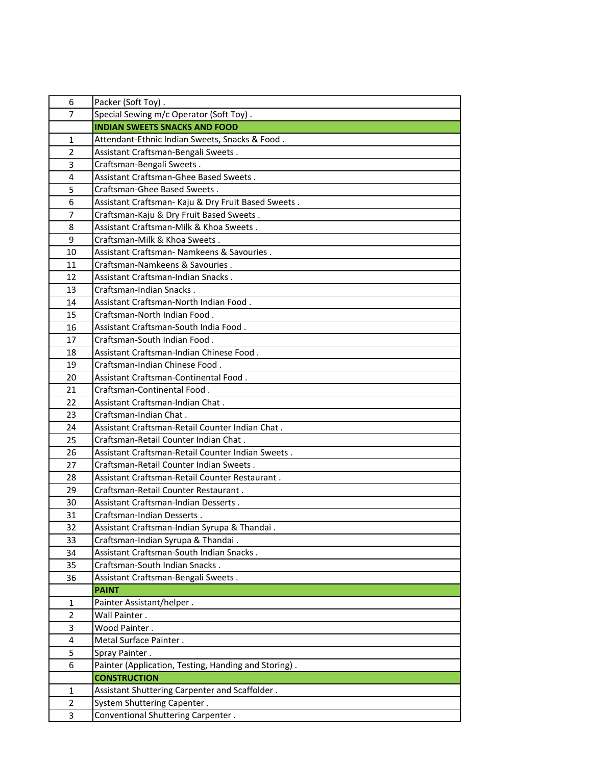| 6              | Packer (Soft Toy).                                   |
|----------------|------------------------------------------------------|
| 7              | Special Sewing m/c Operator (Soft Toy).              |
|                | <b>INDIAN SWEETS SNACKS AND FOOD</b>                 |
| 1              | Attendant-Ethnic Indian Sweets, Snacks & Food.       |
| 2              | Assistant Craftsman-Bengali Sweets.                  |
| 3              | Craftsman-Bengali Sweets.                            |
| 4              | Assistant Craftsman-Ghee Based Sweets.               |
| 5              | Craftsman-Ghee Based Sweets.                         |
| 6              | Assistant Craftsman- Kaju & Dry Fruit Based Sweets.  |
| $\overline{7}$ | Craftsman-Kaju & Dry Fruit Based Sweets.             |
| 8              | Assistant Craftsman-Milk & Khoa Sweets.              |
| 9              | Craftsman-Milk & Khoa Sweets.                        |
| 10             | Assistant Craftsman- Namkeens & Savouries.           |
| 11             | Craftsman-Namkeens & Savouries.                      |
| 12             | Assistant Craftsman-Indian Snacks.                   |
| 13             | Craftsman-Indian Snacks.                             |
| 14             | Assistant Craftsman-North Indian Food.               |
| 15             | Craftsman-North Indian Food.                         |
| 16             | Assistant Craftsman-South India Food.                |
| 17             | Craftsman-South Indian Food.                         |
| 18             | Assistant Craftsman-Indian Chinese Food.             |
| 19             | Craftsman-Indian Chinese Food.                       |
| 20             | Assistant Craftsman-Continental Food.                |
| 21             | Craftsman-Continental Food.                          |
| 22             | Assistant Craftsman-Indian Chat.                     |
| 23             | Craftsman-Indian Chat.                               |
| 24             | Assistant Craftsman-Retail Counter Indian Chat.      |
| 25             | Craftsman-Retail Counter Indian Chat.                |
| 26             | Assistant Craftsman-Retail Counter Indian Sweets.    |
| 27             | Craftsman-Retail Counter Indian Sweets.              |
| 28             | Assistant Craftsman-Retail Counter Restaurant.       |
| 29             | Craftsman-Retail Counter Restaurant.                 |
| 30             | Assistant Craftsman-Indian Desserts.                 |
| 31             | Craftsman-Indian Desserts.                           |
| 32             | Assistant Craftsman-Indian Syrupa & Thandai.         |
| 33             | Craftsman-Indian Syrupa & Thandai.                   |
| 34             | Assistant Craftsman-South Indian Snacks.             |
| 35             | Craftsman-South Indian Snacks.                       |
| 36             | Assistant Craftsman-Bengali Sweets.                  |
|                | <b>PAINT</b>                                         |
| $\mathbf{1}$   | Painter Assistant/helper.                            |
| $\overline{2}$ | Wall Painter.                                        |
| 3              | Wood Painter.                                        |
| 4              | Metal Surface Painter.                               |
| 5              | Spray Painter.                                       |
| 6              | Painter (Application, Testing, Handing and Storing). |
|                | <b>CONSTRUCTION</b>                                  |
| 1              | Assistant Shuttering Carpenter and Scaffolder.       |
| $\overline{2}$ | System Shuttering Capenter.                          |
| 3              | Conventional Shuttering Carpenter.                   |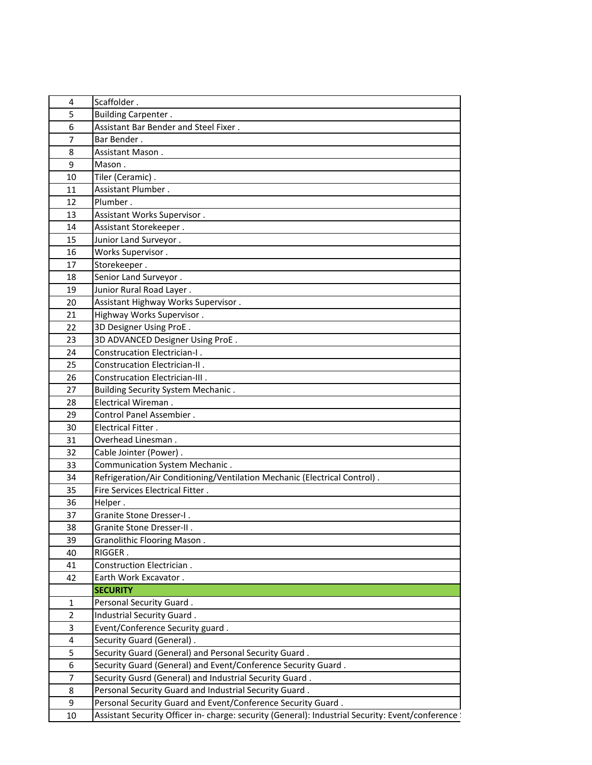| 4              | Scaffolder.                                                                                       |
|----------------|---------------------------------------------------------------------------------------------------|
| 5              | <b>Building Carpenter.</b>                                                                        |
| 6              | Assistant Bar Bender and Steel Fixer.                                                             |
| 7              | Bar Bender.                                                                                       |
| 8              | Assistant Mason.                                                                                  |
| 9              | Mason.                                                                                            |
| 10             | Tiler (Ceramic).                                                                                  |
| 11             | Assistant Plumber.                                                                                |
| 12             | Plumber.                                                                                          |
| 13             | Assistant Works Supervisor.                                                                       |
| 14             | Assistant Storekeeper.                                                                            |
| 15             | Junior Land Surveyor.                                                                             |
| 16             | Works Supervisor.                                                                                 |
| 17             | Storekeeper.                                                                                      |
| 18             | Senior Land Surveyor.                                                                             |
| 19             | Junior Rural Road Layer.                                                                          |
| 20             | Assistant Highway Works Supervisor.                                                               |
| 21             | Highway Works Supervisor.                                                                         |
| 22             | 3D Designer Using ProE.                                                                           |
| 23             | 3D ADVANCED Designer Using ProE.                                                                  |
| 24             | Construcation Electrician-I.                                                                      |
| 25             | Construcation Electrician-II.                                                                     |
| 26             | Construcation Electrician-III.                                                                    |
| 27             | <b>Building Security System Mechanic.</b>                                                         |
| 28             | Electrical Wireman.                                                                               |
| 29             | Control Panel Assembier.                                                                          |
| 30             | Electrical Fitter.                                                                                |
| 31             | Overhead Linesman.                                                                                |
| 32             | Cable Jointer (Power).                                                                            |
| 33             | Communication System Mechanic.                                                                    |
| 34             | Refrigeration/Air Conditioning/Ventilation Mechanic (Electrical Control).                         |
| 35             | Fire Services Electrical Fitter.                                                                  |
| 36             | Helper.                                                                                           |
| 37             | Granite Stone Dresser-I.                                                                          |
| 38             | Granite Stone Dresser-II.                                                                         |
| 39             | Granolithic Flooring Mason.                                                                       |
| 40             | RIGGER.                                                                                           |
| 41             | Construction Electrician.                                                                         |
| 42             | Earth Work Excavator.                                                                             |
|                | <b>SECURITY</b>                                                                                   |
| 1              | Personal Security Guard.                                                                          |
| $\overline{2}$ | Industrial Security Guard.                                                                        |
| 3              | Event/Conference Security guard.                                                                  |
| 4              | Security Guard (General).                                                                         |
| 5              | Security Guard (General) and Personal Security Guard.                                             |
| 6              | Security Guard (General) and Event/Conference Security Guard.                                     |
| $\overline{7}$ | Security Gusrd (General) and Industrial Security Guard.                                           |
| 8              | Personal Security Guard and Industrial Security Guard.                                            |
| 9              | Personal Security Guard and Event/Conference Security Guard.                                      |
| 10             | Assistant Security Officer in-charge: security (General): Industrial Security: Event/conference ! |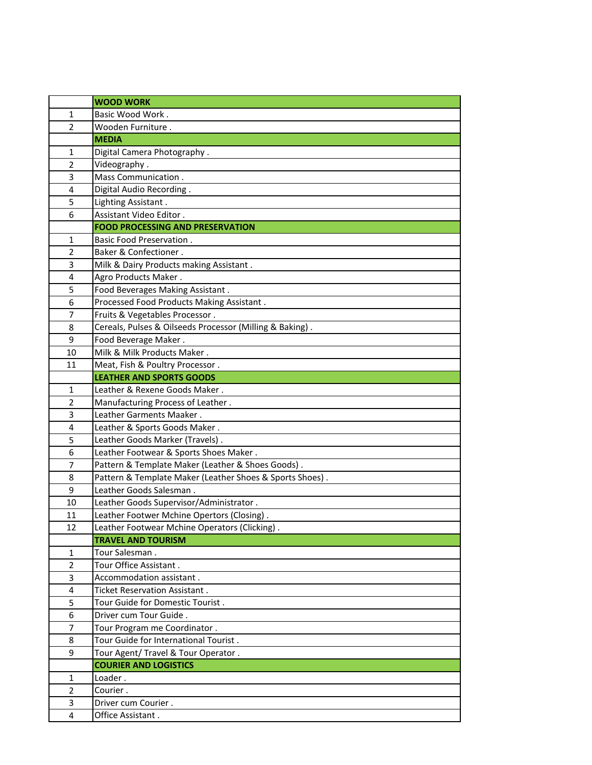|                         | <b>WOOD WORK</b>                                         |
|-------------------------|----------------------------------------------------------|
| 1                       | Basic Wood Work.                                         |
| $\overline{2}$          | Wooden Furniture.                                        |
|                         | <b>MEDIA</b>                                             |
| 1                       | Digital Camera Photography.                              |
| $\overline{2}$          | Videography.                                             |
| 3                       | Mass Communication.                                      |
| 4                       | Digital Audio Recording.                                 |
| 5                       | Lighting Assistant.                                      |
| 6                       | Assistant Video Editor.                                  |
|                         | <b>FOOD PROCESSING AND PRESERVATION</b>                  |
| $\mathbf{1}$            | <b>Basic Food Preservation.</b>                          |
| $\overline{2}$          | Baker & Confectioner.                                    |
| 3                       | Milk & Dairy Products making Assistant.                  |
| 4                       | Agro Products Maker.                                     |
| 5                       | Food Beverages Making Assistant.                         |
| 6                       | Processed Food Products Making Assistant.                |
| 7                       | Fruits & Vegetables Processor.                           |
| 8                       | Cereals, Pulses & Oilseeds Processor (Milling & Baking). |
| 9                       | Food Beverage Maker.                                     |
| 10                      | Milk & Milk Products Maker.                              |
| 11                      | Meat, Fish & Poultry Processor.                          |
|                         | <b>LEATHER AND SPORTS GOODS</b>                          |
| $\mathbf{1}$            | Leather & Rexene Goods Maker.                            |
| $\overline{2}$          | Manufacturing Process of Leather.                        |
| 3                       | Leather Garments Maaker.                                 |
| 4                       | Leather & Sports Goods Maker.                            |
| 5                       | Leather Goods Marker (Travels).                          |
| 6                       | Leather Footwear & Sports Shoes Maker.                   |
| 7                       | Pattern & Template Maker (Leather & Shoes Goods).        |
| 8                       | Pattern & Template Maker (Leather Shoes & Sports Shoes). |
| 9                       | Leather Goods Salesman.                                  |
| 10                      | Leather Goods Supervisor/Administrator.                  |
| 11                      | Leather Footwer Mchine Opertors (Closing).               |
| 12                      | Leather Footwear Mchine Operators (Clicking).            |
|                         | <b>TRAVEL AND TOURISM</b>                                |
| 1                       | Tour Salesman.                                           |
| $\overline{2}$          | Tour Office Assistant.                                   |
| 3                       | Accommodation assistant.                                 |
| 4                       | Ticket Reservation Assistant.                            |
| 5                       | Tour Guide for Domestic Tourist.                         |
| 6                       | Driver cum Tour Guide.                                   |
| 7                       | Tour Program me Coordinator.                             |
| 8                       | Tour Guide for International Tourist.                    |
| 9                       | Tour Agent/ Travel & Tour Operator.                      |
|                         | <b>COURIER AND LOGISTICS</b>                             |
| 1                       | Loader.                                                  |
| $\overline{2}$          | Courier.                                                 |
| 3                       | Driver cum Courier.                                      |
| $\overline{\mathbf{4}}$ | Office Assistant.                                        |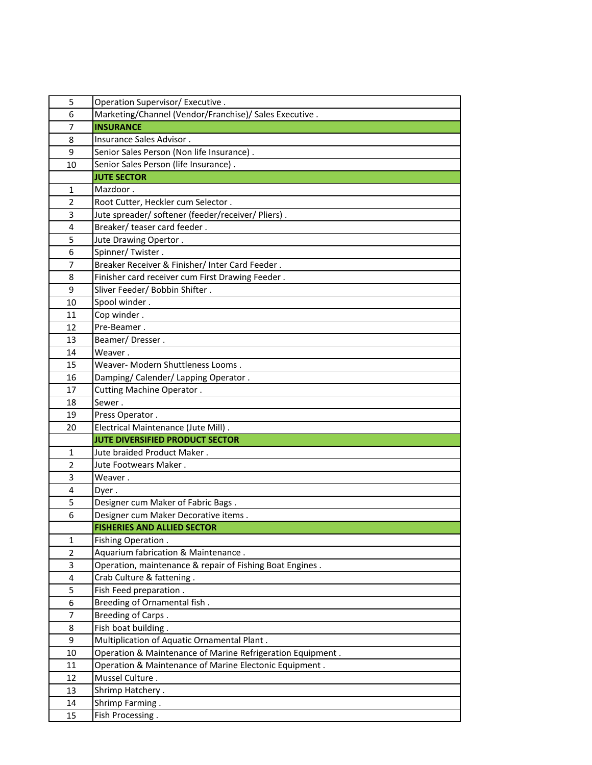| 5              | Operation Supervisor/ Executive.                           |
|----------------|------------------------------------------------------------|
| 6              | Marketing/Channel (Vendor/Franchise)/ Sales Executive.     |
| $\overline{7}$ | <b>INSURANCE</b>                                           |
| 8              | Insurance Sales Advisor.                                   |
| 9              | Senior Sales Person (Non life Insurance).                  |
| 10             | Senior Sales Person (life Insurance).                      |
|                | <b>JUTE SECTOR</b>                                         |
| 1              | Mazdoor.                                                   |
| $\overline{2}$ | Root Cutter, Heckler cum Selector.                         |
| 3              | Jute spreader/ softener (feeder/receiver/ Pliers).         |
| 4              | Breaker/ teaser card feeder.                               |
| 5              | Jute Drawing Opertor.                                      |
| 6              | Spinner/Twister.                                           |
| $\overline{7}$ | Breaker Receiver & Finisher/ Inter Card Feeder.            |
| 8              | Finisher card receiver cum First Drawing Feeder.           |
| 9              | Sliver Feeder/ Bobbin Shifter.                             |
| 10             | Spool winder.                                              |
| 11             | Cop winder.                                                |
| 12             | Pre-Beamer.                                                |
| 13             | Beamer/Dresser.                                            |
| 14             | Weaver.                                                    |
| 15             | Weaver- Modern Shuttleness Looms.                          |
| 16             | Damping/ Calender/ Lapping Operator.                       |
| 17             | Cutting Machine Operator.                                  |
| 18             | Sewer .                                                    |
| 19             | Press Operator.                                            |
| 20             | Electrical Maintenance (Jute Mill).                        |
|                | <b>JUTE DIVERSIFIED PRODUCT SECTOR</b>                     |
| 1              | Jute braided Product Maker.                                |
| $\overline{2}$ | Jute Footwears Maker.                                      |
| 3              | Weaver.                                                    |
| 4              | Dyer.                                                      |
| 5              | Designer cum Maker of Fabric Bags.                         |
| 6              | Designer cum Maker Decorative items.                       |
|                | <b>FISHERIES AND ALLIED SECTOR</b>                         |
| $\mathbf{1}$   | Fishing Operation.                                         |
| $\overline{2}$ | Aquarium fabrication & Maintenance.                        |
| 3              | Operation, maintenance & repair of Fishing Boat Engines.   |
| 4              | Crab Culture & fattening.                                  |
| 5              | Fish Feed preparation.                                     |
| 6              | Breeding of Ornamental fish.                               |
| 7              | Breeding of Carps.                                         |
| 8              | Fish boat building.                                        |
| 9              | Multiplication of Aquatic Ornamental Plant.                |
| 10             | Operation & Maintenance of Marine Refrigeration Equipment. |
| 11             | Operation & Maintenance of Marine Electonic Equipment.     |
| 12             | Mussel Culture.                                            |
| 13             | Shrimp Hatchery.                                           |
| 14             | Shrimp Farming.                                            |
| 15             | Fish Processing.                                           |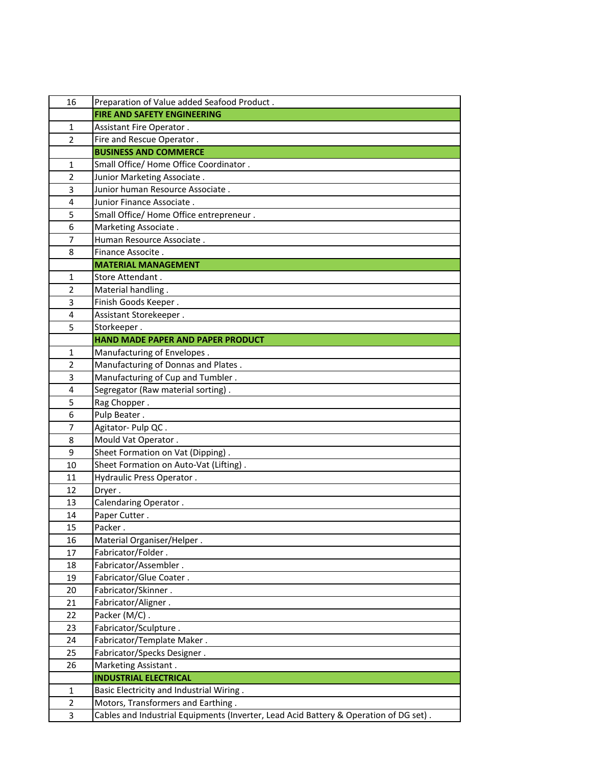| 16             | Preparation of Value added Seafood Product.                                           |
|----------------|---------------------------------------------------------------------------------------|
|                | <b>FIRE AND SAFETY ENGINEERING</b>                                                    |
| $\mathbf{1}$   | Assistant Fire Operator.                                                              |
| $\overline{2}$ | Fire and Rescue Operator.                                                             |
|                | <b>BUSINESS AND COMMERCE</b>                                                          |
| 1              | Small Office/ Home Office Coordinator.                                                |
| $\overline{2}$ | Junior Marketing Associate.                                                           |
| 3              | Junior human Resource Associate.                                                      |
| 4              | Junior Finance Associate.                                                             |
| 5              | Small Office/ Home Office entrepreneur.                                               |
| 6              | Marketing Associate.                                                                  |
| 7              | Human Resource Associate.                                                             |
| 8              | Finance Associte.                                                                     |
|                | <b>MATERIAL MANAGEMENT</b>                                                            |
| 1              | Store Attendant.                                                                      |
| $\overline{2}$ | Material handling.                                                                    |
| 3              | Finish Goods Keeper.                                                                  |
| 4              | Assistant Storekeeper.                                                                |
| 5              | Storkeeper.                                                                           |
|                | HAND MADE PAPER AND PAPER PRODUCT                                                     |
| 1              | Manufacturing of Envelopes.                                                           |
| $\overline{2}$ | Manufacturing of Donnas and Plates.                                                   |
| 3              | Manufacturing of Cup and Tumbler.                                                     |
| 4              | Segregator (Raw material sorting).                                                    |
| 5              | Rag Chopper.                                                                          |
| 6              | Pulp Beater.                                                                          |
| $\overline{7}$ | Agitator- Pulp QC.                                                                    |
| 8              | Mould Vat Operator.                                                                   |
| 9              | Sheet Formation on Vat (Dipping).                                                     |
| 10             | Sheet Formation on Auto-Vat (Lifting).                                                |
| 11             | Hydraulic Press Operator.                                                             |
| 12             | Dryer.                                                                                |
| 13             | Calendaring Operator.                                                                 |
| 14             | Paper Cutter.                                                                         |
| 15             | Packer.                                                                               |
| 16             | Material Organiser/Helper.                                                            |
| 17             | Fabricator/Folder.<br>Fabricator/Assembler.                                           |
| 18             |                                                                                       |
| 19<br>20       | Fabricator/Glue Coater.<br>Fabricator/Skinner.                                        |
| 21             | Fabricator/Aligner.                                                                   |
| 22             | Packer (M/C).                                                                         |
| 23             | Fabricator/Sculpture.                                                                 |
| 24             | Fabricator/Template Maker.                                                            |
| 25             | Fabricator/Specks Designer.                                                           |
| 26             | Marketing Assistant.                                                                  |
|                | <b>INDUSTRIAL ELECTRICAL</b>                                                          |
| $\mathbf{1}$   | Basic Electricity and Industrial Wiring.                                              |
| $\overline{2}$ | Motors, Transformers and Earthing.                                                    |
| 3              | Cables and Industrial Equipments (Inverter, Lead Acid Battery & Operation of DG set). |
|                |                                                                                       |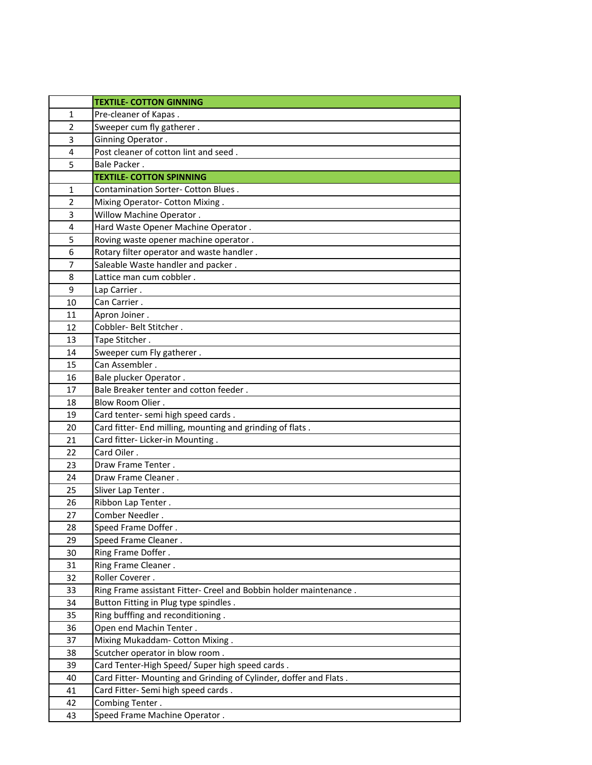|                | <b>TEXTILE- COTTON GINNING</b>                                    |
|----------------|-------------------------------------------------------------------|
| 1              | Pre-cleaner of Kapas.                                             |
| $\overline{2}$ | Sweeper cum fly gatherer.                                         |
| 3              | Ginning Operator.                                                 |
| 4              | Post cleaner of cotton lint and seed.                             |
| 5              | Bale Packer.                                                      |
|                | <b>TEXTILE- COTTON SPINNING</b>                                   |
| 1              | Contamination Sorter- Cotton Blues.                               |
| $\overline{2}$ | Mixing Operator- Cotton Mixing.                                   |
| 3              | Willow Machine Operator.                                          |
| 4              | Hard Waste Opener Machine Operator.                               |
| 5              | Roving waste opener machine operator.                             |
| 6              | Rotary filter operator and waste handler.                         |
| $\overline{7}$ | Saleable Waste handler and packer.                                |
| 8              | Lattice man cum cobbler.                                          |
| 9              | Lap Carrier.                                                      |
| 10             | Can Carrier.                                                      |
| 11             | Apron Joiner.                                                     |
| 12             | Cobbler- Belt Stitcher.                                           |
| 13             | Tape Stitcher.                                                    |
| 14             | Sweeper cum Fly gatherer.                                         |
| 15             | Can Assembler.                                                    |
| 16             | Bale plucker Operator.                                            |
| 17             | Bale Breaker tenter and cotton feeder.                            |
| 18             | Blow Room Olier.                                                  |
| 19             | Card tenter- semi high speed cards.                               |
| 20             | Card fitter- End milling, mounting and grinding of flats.         |
| 21             | Card fitter- Licker-in Mounting.                                  |
| 22             | Card Oiler.                                                       |
| 23             | Draw Frame Tenter.                                                |
| 24             | Draw Frame Cleaner.                                               |
| 25             | Sliver Lap Tenter.                                                |
| 26             | Ribbon Lap Tenter.                                                |
| 27             | Comber Needler.                                                   |
| 28             | Speed Frame Doffer.                                               |
| 29             | Speed Frame Cleaner.                                              |
| 30             | Ring Frame Doffer.                                                |
| 31             | Ring Frame Cleaner.                                               |
| 32             | Roller Coverer.                                                   |
| 33             | Ring Frame assistant Fitter- Creel and Bobbin holder maintenance. |
| 34             | Button Fitting in Plug type spindles.                             |
| 35             | Ring bufffing and reconditioning.                                 |
| 36             | Open end Machin Tenter.                                           |
| 37             | Mixing Mukaddam- Cotton Mixing.                                   |
| 38             | Scutcher operator in blow room.                                   |
| 39             | Card Tenter-High Speed/ Super high speed cards.                   |
| 40             | Card Fitter- Mounting and Grinding of Cylinder, doffer and Flats. |
| 41             | Card Fitter- Semi high speed cards.                               |
| 42             | Combing Tenter.                                                   |
| 43             | Speed Frame Machine Operator.                                     |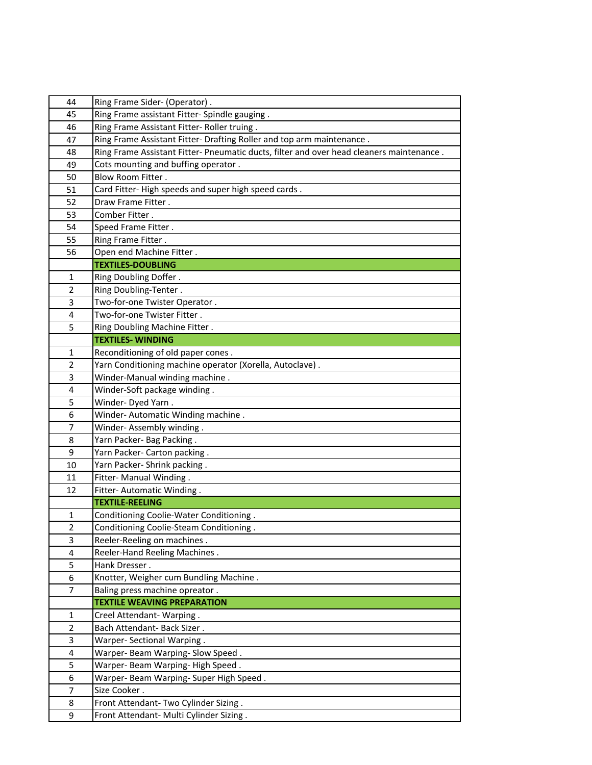| 44             | Ring Frame Sider- (Operator).                                                            |
|----------------|------------------------------------------------------------------------------------------|
| 45             | Ring Frame assistant Fitter- Spindle gauging.                                            |
| 46             | Ring Frame Assistant Fitter- Roller truing.                                              |
| 47             | Ring Frame Assistant Fitter- Drafting Roller and top arm maintenance.                    |
| 48             | Ring Frame Assistant Fitter- Pneumatic ducts, filter and over head cleaners maintenance. |
| 49             | Cots mounting and buffing operator.                                                      |
| 50             | Blow Room Fitter.                                                                        |
| 51             | Card Fitter-High speeds and super high speed cards.                                      |
| 52             | Draw Frame Fitter.                                                                       |
| 53             | Comber Fitter.                                                                           |
| 54             | Speed Frame Fitter.                                                                      |
| 55             | Ring Frame Fitter.                                                                       |
| 56             | Open end Machine Fitter.                                                                 |
|                | <b>TEXTILES-DOUBLING</b>                                                                 |
| 1              | Ring Doubling Doffer.                                                                    |
| $\overline{2}$ | Ring Doubling-Tenter.                                                                    |
| 3              | Two-for-one Twister Operator.                                                            |
| 4              | Two-for-one Twister Fitter.                                                              |
| 5              | Ring Doubling Machine Fitter.                                                            |
|                | <b>TEXTILES-WINDING</b>                                                                  |
| 1              | Reconditioning of old paper cones.                                                       |
| $\overline{2}$ | Yarn Conditioning machine operator (Xorella, Autoclave).                                 |
| 3              | Winder-Manual winding machine.                                                           |
| 4              | Winder-Soft package winding.                                                             |
| 5              | Winder-Dyed Yarn.                                                                        |
| 6              | Winder-Automatic Winding machine.                                                        |
| 7              | Winder-Assembly winding.                                                                 |
| 8              | Yarn Packer- Bag Packing.                                                                |
| 9              | Yarn Packer- Carton packing.                                                             |
| 10             | Yarn Packer- Shrink packing.                                                             |
| 11             | Fitter- Manual Winding.                                                                  |
| 12             | Fitter- Automatic Winding.                                                               |
|                | <b>TEXTILE-REELING</b>                                                                   |
| 1              | Conditioning Coolie-Water Conditioning.                                                  |
| $\overline{2}$ | Conditioning Coolie-Steam Conditioning.                                                  |
| 3              | Reeler-Reeling on machines.                                                              |
| 4              | Reeler-Hand Reeling Machines.                                                            |
| 5              | Hank Dresser.                                                                            |
| 6              | Knotter, Weigher cum Bundling Machine.                                                   |
| 7              | Baling press machine opreator.                                                           |
|                | <b>TEXTILE WEAVING PREPARATION</b>                                                       |
| $\mathbf{1}$   | Creel Attendant-Warping.                                                                 |
| $\overline{2}$ | Bach Attendant- Back Sizer.                                                              |
| 3              | Warper- Sectional Warping.                                                               |
| 4              | Warper- Beam Warping- Slow Speed.                                                        |
| 5              | Warper- Beam Warping- High Speed.                                                        |
| 6              | Warper- Beam Warping- Super High Speed.                                                  |
| $\overline{7}$ | Size Cooker.                                                                             |
| 8              | Front Attendant- Two Cylinder Sizing.                                                    |
| 9              | Front Attendant- Multi Cylinder Sizing.                                                  |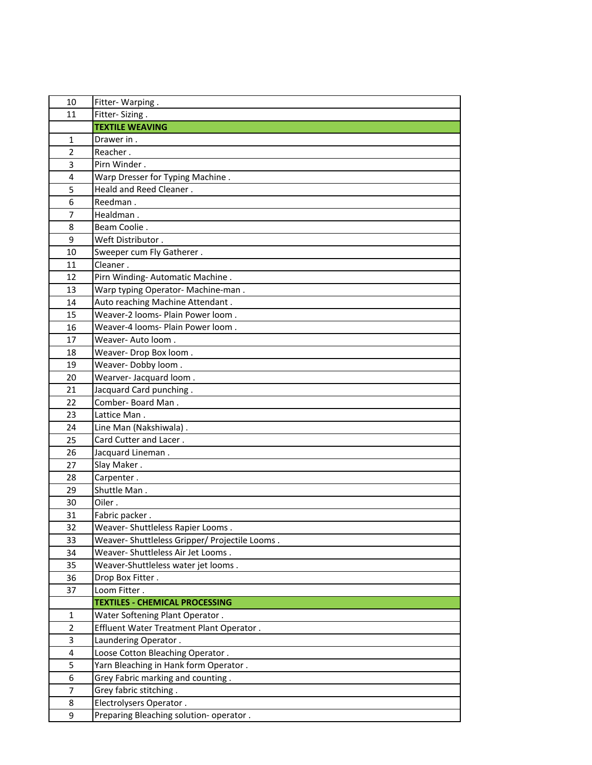| 10             | Fitter-Warping.                              |
|----------------|----------------------------------------------|
| 11             | Fitter-Sizing.                               |
|                | <b>TEXTILE WEAVING</b>                       |
| $\mathbf{1}$   | Drawer in.                                   |
| $\overline{2}$ | Reacher.                                     |
| 3              | Pirn Winder.                                 |
| 4              | Warp Dresser for Typing Machine.             |
| 5              | Heald and Reed Cleaner.                      |
| 6              | Reedman.                                     |
| 7              | Healdman.                                    |
| 8              | Beam Coolie.                                 |
| 9              | Weft Distributor.                            |
| 10             | Sweeper cum Fly Gatherer.                    |
| 11             | Cleaner.                                     |
| 12             | Pirn Winding-Automatic Machine.              |
| 13             | Warp typing Operator- Machine-man.           |
| 14             | Auto reaching Machine Attendant.             |
| 15             | Weaver-2 looms- Plain Power loom.            |
| 16             | Weaver-4 looms- Plain Power loom.            |
| 17             | Weaver- Auto loom.                           |
| 18             | Weaver- Drop Box loom.                       |
| 19             | Weaver-Dobby loom.                           |
| 20             | Wearver-Jacquard loom.                       |
| 21             | Jacquard Card punching.                      |
| 22             | Comber-Board Man.                            |
| 23             | Lattice Man.                                 |
| 24             | Line Man (Nakshiwala).                       |
| 25             | Card Cutter and Lacer.                       |
| 26             | Jacquard Lineman.                            |
| 27             | Slay Maker.                                  |
| 28             | Carpenter.                                   |
| 29             | Shuttle Man.                                 |
| 30             | Oiler.                                       |
| 31             | Fabric packer.                               |
| 32             | Weaver- Shuttleless Rapier Looms.            |
| 33             | Weaver-Shuttleless Gripper/Projectile Looms. |
| 34             | Weaver- Shuttleless Air Jet Looms.           |
| 35             | Weaver-Shuttleless water jet looms.          |
| 36             | Drop Box Fitter.                             |
| 37             | Loom Fitter.                                 |
|                | <b>TEXTILES - CHEMICAL PROCESSING</b>        |
| $\mathbf{1}$   | Water Softening Plant Operator.              |
| $\overline{2}$ | Effluent Water Treatment Plant Operator.     |
| 3              | Laundering Operator.                         |
| 4              | Loose Cotton Bleaching Operator.             |
| 5              | Yarn Bleaching in Hank form Operator.        |
| 6              | Grey Fabric marking and counting.            |
| 7              | Grey fabric stitching.                       |
| 8              | Electrolysers Operator.                      |
| 9              | Preparing Bleaching solution- operator.      |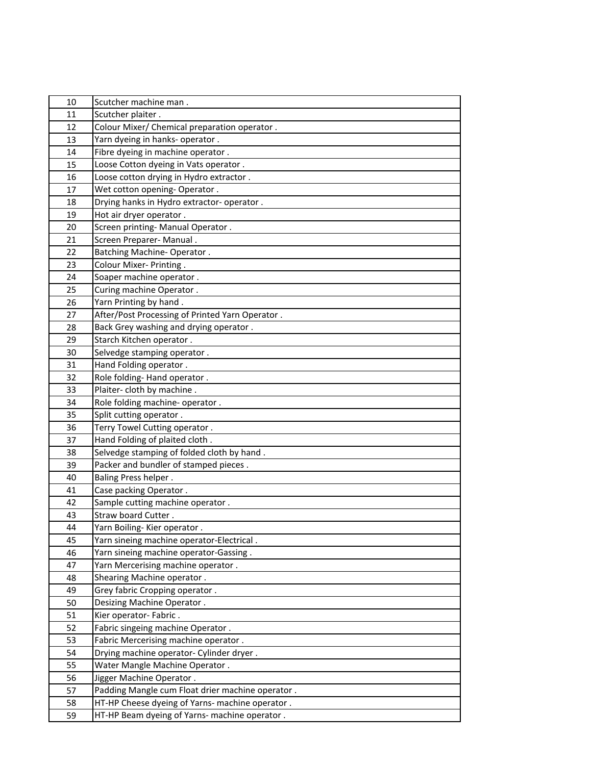| 10       | Scutcher machine man.                                                                            |
|----------|--------------------------------------------------------------------------------------------------|
| 11       | Scutcher plaiter.                                                                                |
| 12       | Colour Mixer/ Chemical preparation operator.                                                     |
| 13       | Yarn dyeing in hanks- operator.                                                                  |
| 14       | Fibre dyeing in machine operator.                                                                |
| 15       | Loose Cotton dyeing in Vats operator.                                                            |
| 16       | Loose cotton drying in Hydro extractor.                                                          |
| 17       | Wet cotton opening- Operator.                                                                    |
| 18       | Drying hanks in Hydro extractor- operator.                                                       |
| 19       | Hot air dryer operator.                                                                          |
| 20       | Screen printing- Manual Operator.                                                                |
| 21       | Screen Preparer- Manual.                                                                         |
| 22       | <b>Batching Machine-Operator.</b>                                                                |
| 23       | Colour Mixer- Printing.                                                                          |
| 24       | Soaper machine operator.                                                                         |
| 25       | Curing machine Operator.                                                                         |
| 26       | Yarn Printing by hand.                                                                           |
| 27       | After/Post Processing of Printed Yarn Operator.                                                  |
| 28       | Back Grey washing and drying operator.                                                           |
| 29       | Starch Kitchen operator.                                                                         |
| 30       | Selvedge stamping operator.                                                                      |
| 31       | Hand Folding operator.                                                                           |
| 32       | Role folding-Hand operator.                                                                      |
| 33       | Plaiter-cloth by machine.                                                                        |
| 34       | Role folding machine- operator.                                                                  |
|          |                                                                                                  |
| 35       | Split cutting operator.                                                                          |
| 36       | Terry Towel Cutting operator.                                                                    |
| 37       | Hand Folding of plaited cloth.                                                                   |
| 38       | Selvedge stamping of folded cloth by hand.                                                       |
| 39       | Packer and bundler of stamped pieces.                                                            |
| 40       | <b>Baling Press helper.</b>                                                                      |
| 41       | Case packing Operator.                                                                           |
| 42       | Sample cutting machine operator.                                                                 |
| 43       | Straw board Cutter.                                                                              |
| 44       | Yarn Boiling-Kier operator.                                                                      |
| 45       | Yarn sineing machine operator-Electrical.                                                        |
| 46       | Yarn sineing machine operator-Gassing.                                                           |
| 47       | Yarn Mercerising machine operator.                                                               |
| 48       | Shearing Machine operator.                                                                       |
| 49       | Grey fabric Cropping operator.                                                                   |
| 50       | Desizing Machine Operator.                                                                       |
| 51       | Kier operator- Fabric.                                                                           |
| 52       | Fabric singeing machine Operator.                                                                |
| 53       | Fabric Mercerising machine operator.                                                             |
| 54       | Drying machine operator- Cylinder dryer.                                                         |
| 55       | Water Mangle Machine Operator.                                                                   |
| 56       | Jigger Machine Operator.                                                                         |
| 57       | Padding Mangle cum Float drier machine operator.                                                 |
| 58<br>59 | HT-HP Cheese dyeing of Yarns- machine operator.<br>HT-HP Beam dyeing of Yarns- machine operator. |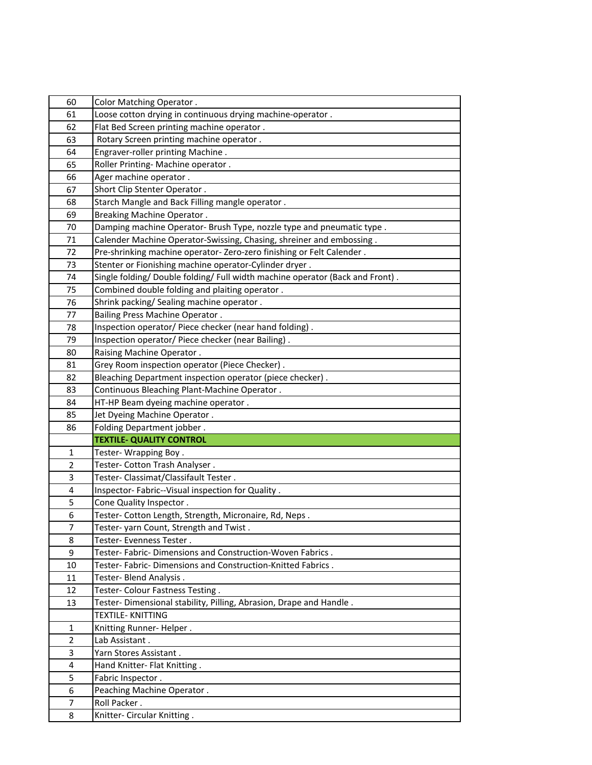| 60                  | Color Matching Operator.                                                      |
|---------------------|-------------------------------------------------------------------------------|
| 61                  | Loose cotton drying in continuous drying machine-operator.                    |
| 62                  | Flat Bed Screen printing machine operator.                                    |
| 63                  | Rotary Screen printing machine operator.                                      |
| 64                  | Engraver-roller printing Machine.                                             |
| 65                  | Roller Printing- Machine operator.                                            |
| 66                  | Ager machine operator.                                                        |
| 67                  | Short Clip Stenter Operator.                                                  |
| 68                  | Starch Mangle and Back Filling mangle operator.                               |
| 69                  | <b>Breaking Machine Operator.</b>                                             |
| 70                  | Damping machine Operator- Brush Type, nozzle type and pneumatic type.         |
| 71                  | Calender Machine Operator-Swissing, Chasing, shreiner and embossing.          |
| 72                  | Pre-shrinking machine operator-Zero-zero finishing or Felt Calender.          |
| 73                  | Stenter or Fionishing machine operator-Cylinder dryer.                        |
| 74                  | Single folding/ Double folding/ Full width machine operator (Back and Front). |
| 75                  | Combined double folding and plaiting operator.                                |
| 76                  | Shrink packing/ Sealing machine operator.                                     |
| 77                  | <b>Bailing Press Machine Operator.</b>                                        |
| 78                  | Inspection operator/ Piece checker (near hand folding).                       |
| 79                  | Inspection operator/ Piece checker (near Bailing).                            |
| 80                  | Raising Machine Operator.                                                     |
| 81                  | Grey Room inspection operator (Piece Checker).                                |
| 82                  | Bleaching Department inspection operator (piece checker).                     |
| 83                  | Continuous Bleaching Plant-Machine Operator.                                  |
| 84                  | HT-HP Beam dyeing machine operator.                                           |
| 85                  | Jet Dyeing Machine Operator.                                                  |
| 86                  | Folding Department jobber.                                                    |
|                     | <b>TEXTILE- QUALITY CONTROL</b>                                               |
| $\mathbf{1}$        | Tester- Wrapping Boy.                                                         |
| $\overline{2}$      | Tester- Cotton Trash Analyser.                                                |
| 3                   | Tester- Classimat/Classifault Tester.                                         |
| 4                   |                                                                               |
|                     | Inspector-Fabric--Visual inspection for Quality.                              |
| 5                   | Cone Quality Inspector.                                                       |
| 6                   | Tester- Cotton Length, Strength, Micronaire, Rd, Neps.                        |
| 7                   | Tester- yarn Count, Strength and Twist                                        |
| 8                   | Tester- Evenness Tester.                                                      |
| 9                   | Tester- Fabric- Dimensions and Construction-Woven Fabrics.                    |
| 10                  | Tester- Fabric- Dimensions and Construction-Knitted Fabrics.                  |
| 11                  | Tester- Blend Analysis.                                                       |
| 12                  | Tester- Colour Fastness Testing.                                              |
| 13                  | Tester- Dimensional stability, Pilling, Abrasion, Drape and Handle.           |
|                     | <b>TEXTILE- KNITTING</b>                                                      |
| $\mathbf{1}$        | Knitting Runner-Helper.                                                       |
| $\overline{2}$      | Lab Assistant.                                                                |
| 3                   | Yarn Stores Assistant.                                                        |
| 4                   | Hand Knitter- Flat Knitting.                                                  |
| 5                   | Fabric Inspector.                                                             |
| 6                   | Peaching Machine Operator.                                                    |
| $\overline{7}$<br>8 | Roll Packer.<br>Knitter- Circular Knitting.                                   |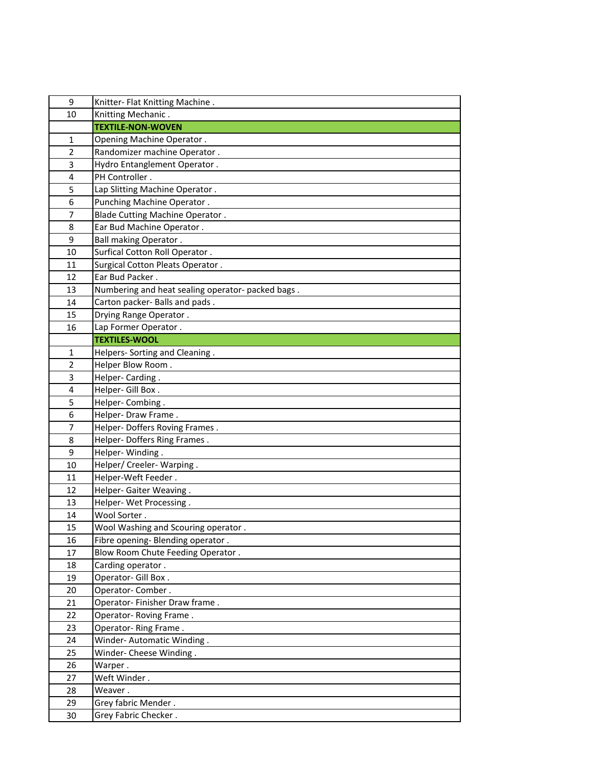| 9              | Knitter- Flat Knitting Machine.                   |
|----------------|---------------------------------------------------|
| 10             | Knitting Mechanic.                                |
|                | <b>TEXTILE-NON-WOVEN</b>                          |
| 1              | Opening Machine Operator.                         |
| $\overline{2}$ | Randomizer machine Operator.                      |
| 3              | Hydro Entanglement Operator.                      |
| 4              | PH Controller.                                    |
| 5              | Lap Slitting Machine Operator.                    |
| 6              | Punching Machine Operator.                        |
| $\overline{7}$ | Blade Cutting Machine Operator.                   |
| 8              | Ear Bud Machine Operator.                         |
| 9              | <b>Ball making Operator.</b>                      |
| 10             | Surfical Cotton Roll Operator.                    |
| 11             | Surgical Cotton Pleats Operator.                  |
| 12             | Ear Bud Packer.                                   |
| 13             | Numbering and heat sealing operator- packed bags. |
| 14             | Carton packer- Balls and pads.                    |
| 15             | Drying Range Operator.                            |
| 16             | Lap Former Operator.                              |
|                | <b>TEXTILES-WOOL</b>                              |
| $\mathbf{1}$   | Helpers- Sorting and Cleaning.                    |
| $\overline{2}$ | Helper Blow Room.                                 |
| 3              | Helper-Carding.                                   |
| 4              | Helper- Gill Box.                                 |
| 5              | Helper- Combing.                                  |
| 6              | Helper- Draw Frame.                               |
| 7              | Helper- Doffers Roving Frames.                    |
| 8              | Helper- Doffers Ring Frames.                      |
| 9              | Helper-Winding.                                   |
| 10             | Helper/ Creeler- Warping.                         |
| 11             | Helper-Weft Feeder.                               |
| 12             | Helper- Gaiter Weaving.                           |
| 13             | Helper- Wet Processing.                           |
| 14             | Wool Sorter.                                      |
| 15             | Wool Washing and Scouring operator.               |
| 16             | Fibre opening- Blending operator.                 |
| 17             | Blow Room Chute Feeding Operator.                 |
| 18             | Carding operator.                                 |
| 19             | Operator- Gill Box.                               |
| 20             | Operator-Comber.                                  |
| 21             | Operator-Finisher Draw frame.                     |
| 22             | Operator-Roving Frame.                            |
| 23             | Operator-Ring Frame.                              |
| 24             | Winder-Automatic Winding.                         |
| 25             | Winder- Cheese Winding.                           |
| 26             | Warper.                                           |
| 27             | Weft Winder.                                      |
| 28             | Weaver.                                           |
| 29             | Grey fabric Mender.                               |
| 30             | Grey Fabric Checker.                              |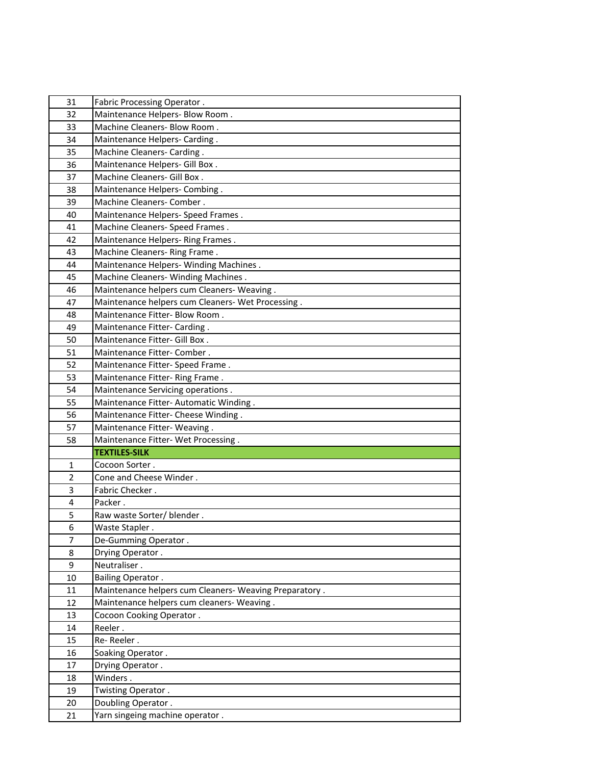| 31             | Fabric Processing Operator.                           |
|----------------|-------------------------------------------------------|
| 32             | Maintenance Helpers- Blow Room.                       |
| 33             | Machine Cleaners- Blow Room.                          |
| 34             | Maintenance Helpers- Carding.                         |
| 35             | Machine Cleaners- Carding.                            |
| 36             | Maintenance Helpers- Gill Box.                        |
| 37             | Machine Cleaners- Gill Box.                           |
| 38             | Maintenance Helpers- Combing.                         |
| 39             | Machine Cleaners- Comber.                             |
| 40             | Maintenance Helpers- Speed Frames.                    |
| 41             | Machine Cleaners- Speed Frames.                       |
| 42             | Maintenance Helpers-Ring Frames.                      |
| 43             | Machine Cleaners-Ring Frame.                          |
| 44             | Maintenance Helpers- Winding Machines.                |
| 45             | Machine Cleaners- Winding Machines.                   |
| 46             | Maintenance helpers cum Cleaners- Weaving.            |
| 47             | Maintenance helpers cum Cleaners- Wet Processing.     |
| 48             | Maintenance Fitter- Blow Room.                        |
| 49             | Maintenance Fitter- Carding.                          |
| 50             | Maintenance Fitter- Gill Box.                         |
| 51             | Maintenance Fitter- Comber.                           |
| 52             | Maintenance Fitter- Speed Frame.                      |
| 53             | Maintenance Fitter-Ring Frame.                        |
| 54             | Maintenance Servicing operations.                     |
| 55             | Maintenance Fitter-Automatic Winding.                 |
| 56             | Maintenance Fitter- Cheese Winding.                   |
| 57             | Maintenance Fitter-Weaving.                           |
| 58             | Maintenance Fitter- Wet Processing.                   |
|                | <b>TEXTILES-SILK</b>                                  |
| 1              | Cocoon Sorter.                                        |
| $\overline{2}$ | Cone and Cheese Winder.                               |
| 3              | Fabric Checker.                                       |
| 4              | Packer.                                               |
| 5              | Raw waste Sorter/ blender.                            |
| 6              | Waste Stapler.                                        |
| $\overline{7}$ | De-Gumming Operator.                                  |
| 8              | Drying Operator.                                      |
| 9              | Neutraliser.                                          |
| 10             | <b>Bailing Operator.</b>                              |
| 11             | Maintenance helpers cum Cleaners-Weaving Preparatory. |
| 12             | Maintenance helpers cum cleaners- Weaving.            |
| 13             | Cocoon Cooking Operator.                              |
| 14             | Reeler.<br>Re-Reeler.                                 |
| 15             |                                                       |
| 16             | Soaking Operator.                                     |
| 17<br>18       | Drying Operator.<br>Winders.                          |
| 19             |                                                       |
| 20             | Twisting Operator.<br>Doubling Operator.              |
| 21             | Yarn singeing machine operator.                       |
|                |                                                       |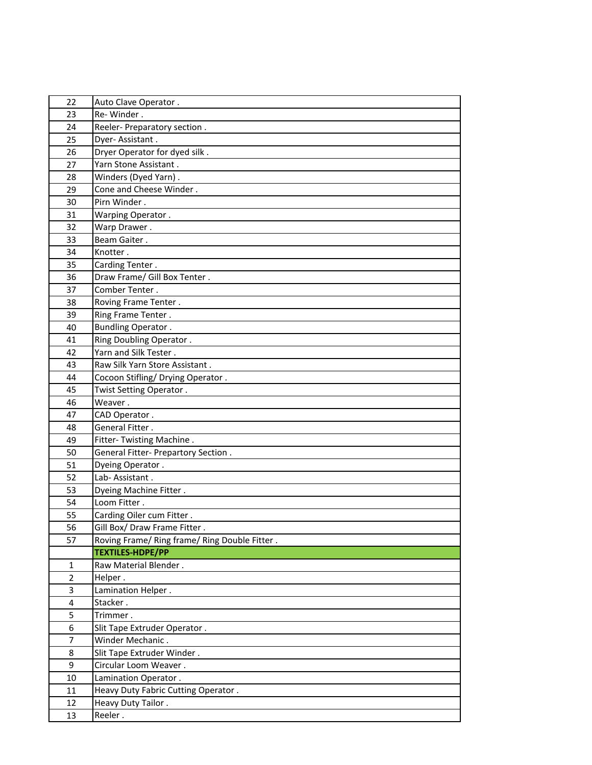| 22                      | Auto Clave Operator.                          |
|-------------------------|-----------------------------------------------|
| 23                      | Re-Winder.                                    |
| 24                      | Reeler- Preparatory section.                  |
| 25                      | Dyer-Assistant.                               |
| 26                      | Dryer Operator for dyed silk.                 |
| 27                      | Yarn Stone Assistant.                         |
| 28                      | Winders (Dyed Yarn).                          |
| 29                      | Cone and Cheese Winder.                       |
| 30                      | Pirn Winder.                                  |
| 31                      | Warping Operator.                             |
| 32                      | Warp Drawer.                                  |
| 33                      | Beam Gaiter.                                  |
| 34                      | Knotter.                                      |
| 35                      | Carding Tenter.                               |
| 36                      | Draw Frame/ Gill Box Tenter.                  |
| 37                      | Comber Tenter.                                |
| 38                      | Roving Frame Tenter.                          |
| 39                      | Ring Frame Tenter.                            |
| 40                      | <b>Bundling Operator.</b>                     |
| 41                      | Ring Doubling Operator.                       |
| 42                      | Yarn and Silk Tester.                         |
| 43                      | Raw Silk Yarn Store Assistant.                |
| 44                      | Cocoon Stifling/ Drying Operator.             |
| 45                      | Twist Setting Operator.                       |
| 46                      | Weaver.                                       |
|                         |                                               |
| 47                      | CAD Operator.                                 |
| 48                      | General Fitter.                               |
| 49                      | Fitter- Twisting Machine.                     |
| 50                      | General Fitter- Prepartory Section.           |
| 51                      | Dyeing Operator.                              |
| 52                      | Lab-Assistant.                                |
| 53                      | Dyeing Machine Fitter.                        |
| 54                      | Loom Fitter.                                  |
| 55                      | Carding Oiler cum Fitter.                     |
| 56                      | Gill Box/ Draw Frame Fitter.                  |
| 57                      | Roving Frame/ Ring frame/ Ring Double Fitter. |
|                         | <b>TEXTILES-HDPE/PP</b>                       |
| 1                       | Raw Material Blender.                         |
| $\overline{2}$          | Helper.                                       |
| 3                       | Lamination Helper.                            |
| $\overline{\mathbf{4}}$ | Stacker.                                      |
| 5                       | Trimmer.                                      |
| 6                       | Slit Tape Extruder Operator.                  |
| $\overline{7}$          | Winder Mechanic.                              |
| 8                       | Slit Tape Extruder Winder.                    |
| 9                       | Circular Loom Weaver.                         |
| 10                      | Lamination Operator.                          |
| 11                      | Heavy Duty Fabric Cutting Operator.           |
| 12<br>13                | Heavy Duty Tailor.<br>Reeler.                 |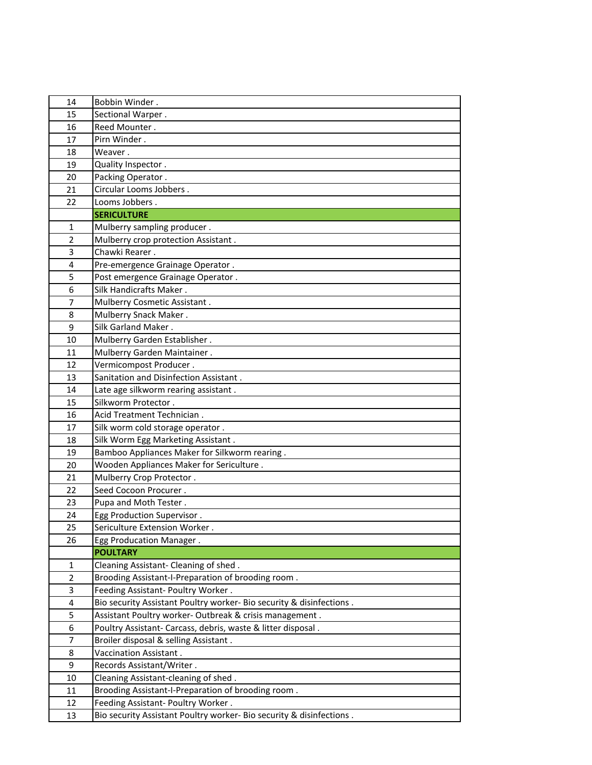| 14             | Bobbin Winder.                                                       |
|----------------|----------------------------------------------------------------------|
| 15             | Sectional Warper.                                                    |
| 16             | Reed Mounter.                                                        |
| 17             | Pirn Winder.                                                         |
| 18             | Weaver.                                                              |
| 19             | Quality Inspector.                                                   |
| 20             | Packing Operator.                                                    |
| 21             | Circular Looms Jobbers.                                              |
| 22             | Looms Jobbers.                                                       |
|                | <b>SERICULTURE</b>                                                   |
| $\mathbf{1}$   | Mulberry sampling producer.                                          |
| $\overline{2}$ | Mulberry crop protection Assistant.                                  |
| 3              | Chawki Rearer.                                                       |
| 4              | Pre-emergence Grainage Operator.                                     |
| 5              | Post emergence Grainage Operator.                                    |
| 6              | Silk Handicrafts Maker.                                              |
| 7              | Mulberry Cosmetic Assistant.                                         |
| 8              | Mulberry Snack Maker.                                                |
| 9              | Silk Garland Maker.                                                  |
| 10             | Mulberry Garden Establisher.                                         |
| 11             | Mulberry Garden Maintainer.                                          |
| 12             | Vermicompost Producer.                                               |
| 13             | Sanitation and Disinfection Assistant.                               |
| 14             | Late age silkworm rearing assistant.                                 |
| 15             | Silkworm Protector.                                                  |
| 16             | Acid Treatment Technician.                                           |
| 17             | Silk worm cold storage operator.                                     |
| 18             | Silk Worm Egg Marketing Assistant.                                   |
| 19             | Bamboo Appliances Maker for Silkworm rearing.                        |
| 20             | Wooden Appliances Maker for Sericulture.                             |
| 21             | Mulberry Crop Protector.                                             |
| 22             | Seed Cocoon Procurer.                                                |
| 23             | Pupa and Moth Tester.                                                |
| 24             | Egg Production Supervisor.                                           |
| 25             | Sericulture Extension Worker.                                        |
| 26             | Egg Producation Manager.                                             |
|                | <b>POULTARY</b>                                                      |
| 1              | Cleaning Assistant- Cleaning of shed.                                |
| $\overline{2}$ | Brooding Assistant-I-Preparation of brooding room.                   |
| 3              | Feeding Assistant- Poultry Worker.                                   |
| 4              | Bio security Assistant Poultry worker- Bio security & disinfections. |
| 5              | Assistant Poultry worker- Outbreak & crisis management.              |
| 6              | Poultry Assistant- Carcass, debris, waste & litter disposal.         |
| $\overline{7}$ | Broiler disposal & selling Assistant.                                |
| 8              | Vaccination Assistant.                                               |
| 9              | Records Assistant/Writer.                                            |
| 10             | Cleaning Assistant-cleaning of shed.                                 |
| 11             | Brooding Assistant-I-Preparation of brooding room.                   |
| 12             | Feeding Assistant- Poultry Worker.                                   |
| 13             | Bio security Assistant Poultry worker- Bio security & disinfections. |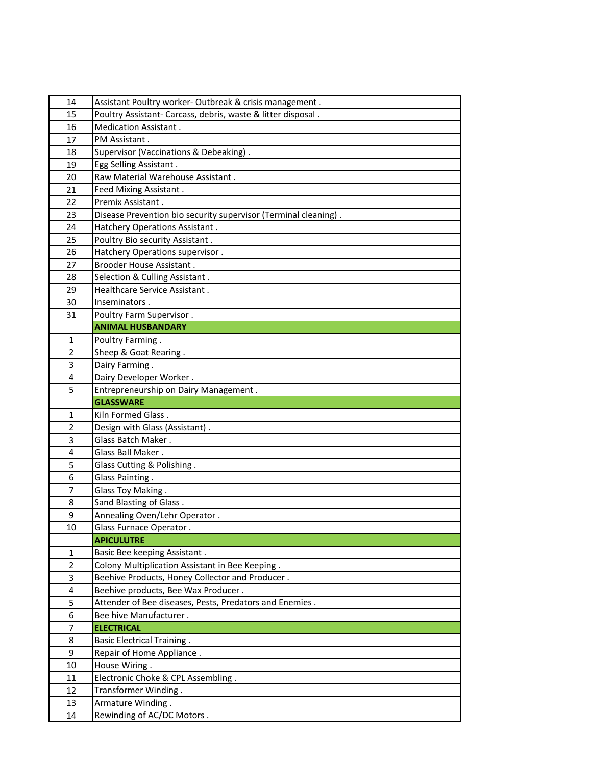| 14             | Assistant Poultry worker- Outbreak & crisis management.         |
|----------------|-----------------------------------------------------------------|
| 15             | Poultry Assistant- Carcass, debris, waste & litter disposal.    |
| 16             | Medication Assistant.                                           |
| 17             | PM Assistant.                                                   |
| 18             | Supervisor (Vaccinations & Debeaking).                          |
| 19             | Egg Selling Assistant.                                          |
| 20             | Raw Material Warehouse Assistant.                               |
| 21             | Feed Mixing Assistant.                                          |
| 22             | Premix Assistant.                                               |
| 23             | Disease Prevention bio security supervisor (Terminal cleaning). |
| 24             | Hatchery Operations Assistant.                                  |
| 25             | Poultry Bio security Assistant.                                 |
| 26             | Hatchery Operations supervisor.                                 |
| 27             | Brooder House Assistant.                                        |
| 28             | Selection & Culling Assistant.                                  |
| 29             | Healthcare Service Assistant.                                   |
| 30             | Inseminators.                                                   |
| 31             | Poultry Farm Supervisor.                                        |
|                | <b>ANIMAL HUSBANDARY</b>                                        |
| 1              | Poultry Farming.                                                |
| $\overline{2}$ | Sheep & Goat Rearing.                                           |
| 3              | Dairy Farming.                                                  |
| 4              | Dairy Developer Worker.                                         |
| 5              | Entrepreneurship on Dairy Management.                           |
|                | <b>GLASSWARE</b>                                                |
| 1              | Kiln Formed Glass.                                              |
| $\overline{2}$ | Design with Glass (Assistant).                                  |
| 3              | Glass Batch Maker.                                              |
| 4              | Glass Ball Maker.                                               |
| 5              | Glass Cutting & Polishing.                                      |
| 6              | Glass Painting.                                                 |
| $\overline{7}$ | Glass Toy Making.                                               |
| 8              | Sand Blasting of Glass.                                         |
| 9              | Annealing Oven/Lehr Operator.                                   |
| 10             | Glass Furnace Operator.                                         |
| 1              | <b>APICULUTRE</b><br>Basic Bee keeping Assistant.               |
| $\overline{2}$ | Colony Multiplication Assistant in Bee Keeping.                 |
| 3              | Beehive Products, Honey Collector and Producer.                 |
| 4              | Beehive products, Bee Wax Producer.                             |
| 5              | Attender of Bee diseases, Pests, Predators and Enemies.         |
| 6              | Bee hive Manufacturer.                                          |
| $\overline{7}$ | <b>ELECTRICAL</b>                                               |
| 8              | <b>Basic Electrical Training.</b>                               |
| 9              | Repair of Home Appliance.                                       |
| 10             | House Wiring.                                                   |
| 11             | Electronic Choke & CPL Assembling.                              |
| 12             | Transformer Winding.                                            |
| 13             | Armature Winding.                                               |
| 14             | Rewinding of AC/DC Motors.                                      |
|                |                                                                 |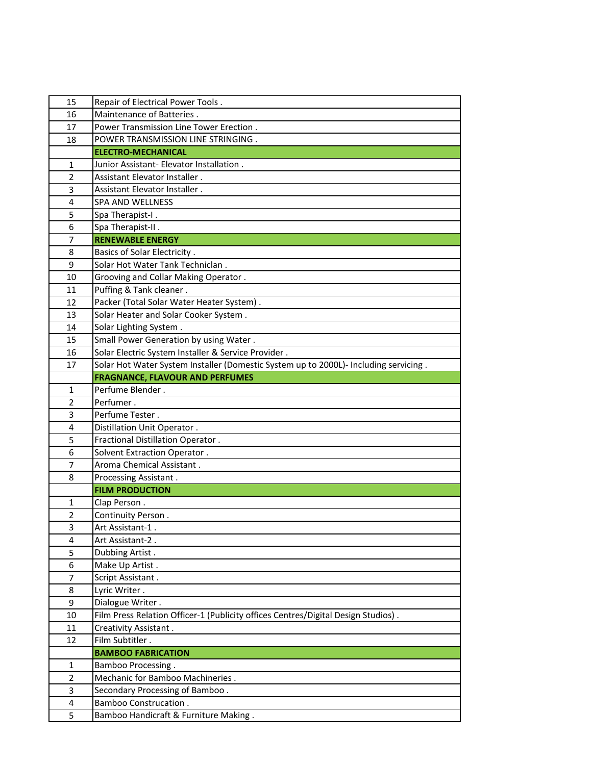| 15             | Repair of Electrical Power Tools.                                                                     |
|----------------|-------------------------------------------------------------------------------------------------------|
| 16             | Maintenance of Batteries.                                                                             |
| 17             | Power Transmission Line Tower Erection.                                                               |
| 18             | POWER TRANSMISSION LINE STRINGING.                                                                    |
|                | <b>ELECTRO-MECHANICAL</b>                                                                             |
| 1              | Junior Assistant- Elevator Installation.                                                              |
| $\overline{2}$ | Assistant Elevator Installer.                                                                         |
| 3              | Assistant Elevator Installer.                                                                         |
| 4              | <b>SPA AND WELLNESS</b>                                                                               |
| 5              | Spa Therapist-I.                                                                                      |
| 6              | Spa Therapist-II.                                                                                     |
| $\overline{7}$ | <b>RENEWABLE ENERGY</b>                                                                               |
| 8              | <b>Basics of Solar Electricity.</b>                                                                   |
| 9              | Solar Hot Water Tank Techniclan.                                                                      |
| 10             | Grooving and Collar Making Operator.                                                                  |
| 11             | Puffing & Tank cleaner.                                                                               |
| 12             | Packer (Total Solar Water Heater System).                                                             |
| 13             | Solar Heater and Solar Cooker System.                                                                 |
| 14             | Solar Lighting System.                                                                                |
| 15             | Small Power Generation by using Water.                                                                |
| 16             | Solar Electric System Installer & Service Provider.                                                   |
| 17             | Solar Hot Water System Installer (Domestic System up to 2000L)- Including servicing.                  |
|                | <b>FRAGNANCE, FLAVOUR AND PERFUMES</b>                                                                |
| 1              | Perfume Blender.                                                                                      |
| $\overline{2}$ | Perfumer.                                                                                             |
| 3              | Perfume Tester.                                                                                       |
| 4              | Distillation Unit Operator.                                                                           |
| 5              | Fractional Distillation Operator.                                                                     |
| 6              | Solvent Extraction Operator.                                                                          |
| $\overline{7}$ | Aroma Chemical Assistant.                                                                             |
| 8              | Processing Assistant.                                                                                 |
|                | <b>FILM PRODUCTION</b>                                                                                |
| 1              | Clap Person.                                                                                          |
| $\overline{2}$ | Continuity Person.                                                                                    |
| 3              | Art Assistant-1.                                                                                      |
| 4              | Art Assistant-2.                                                                                      |
| 5              | Dubbing Artist.                                                                                       |
| 6              | Make Up Artist.                                                                                       |
| $\overline{7}$ | Script Assistant.                                                                                     |
| 8              | Lyric Writer.                                                                                         |
| 9              | Dialogue Writer.<br>Film Press Relation Officer-1 (Publicity offices Centres/Digital Design Studios). |
| 10<br>11       |                                                                                                       |
|                | Creativity Assistant.<br>Film Subtitler.                                                              |
| 12             | <b>BAMBOO FABRICATION</b>                                                                             |
| 1              | <b>Bamboo Processing.</b>                                                                             |
| $\overline{2}$ | Mechanic for Bamboo Machineries.                                                                      |
| 3              | Secondary Processing of Bamboo.                                                                       |
| 4              | <b>Bamboo Construcation.</b>                                                                          |
| 5              | Bamboo Handicraft & Furniture Making.                                                                 |
|                |                                                                                                       |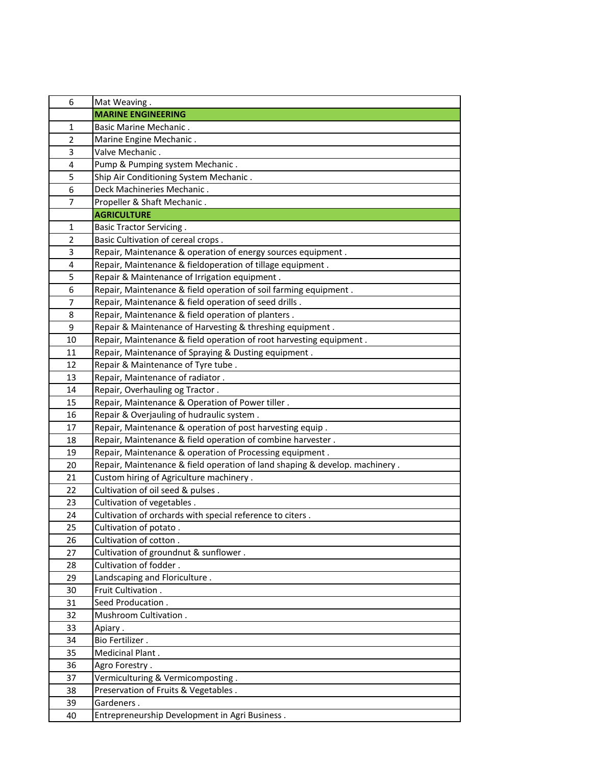| 6              | Mat Weaving.                                                                |
|----------------|-----------------------------------------------------------------------------|
|                | <b>MARINE ENGINEERING</b>                                                   |
| $\mathbf 1$    | <b>Basic Marine Mechanic.</b>                                               |
| $\overline{2}$ | Marine Engine Mechanic.                                                     |
| 3              | Valve Mechanic.                                                             |
| 4              | Pump & Pumping system Mechanic.                                             |
| 5              | Ship Air Conditioning System Mechanic.                                      |
| 6              | Deck Machineries Mechanic.                                                  |
| $\overline{7}$ | Propeller & Shaft Mechanic.                                                 |
|                | <b>AGRICULTURE</b>                                                          |
| 1              | <b>Basic Tractor Servicing.</b>                                             |
| $\overline{2}$ | Basic Cultivation of cereal crops.                                          |
| 3              | Repair, Maintenance & operation of energy sources equipment.                |
| 4              | Repair, Maintenance & fieldoperation of tillage equipment.                  |
| 5              | Repair & Maintenance of Irrigation equipment.                               |
| 6              | Repair, Maintenance & field operation of soil farming equipment.            |
| 7              | Repair, Maintenance & field operation of seed drills.                       |
| 8              | Repair, Maintenance & field operation of planters.                          |
| 9              | Repair & Maintenance of Harvesting & threshing equipment.                   |
| 10             | Repair, Maintenance & field operation of root harvesting equipment.         |
| 11             | Repair, Maintenance of Spraying & Dusting equipment.                        |
| 12             | Repair & Maintenance of Tyre tube.                                          |
| 13             | Repair, Maintenance of radiator.                                            |
| 14             | Repair, Overhauling og Tractor.                                             |
| 15             | Repair, Maintenance & Operation of Power tiller.                            |
| 16             | Repair & Overjauling of hudraulic system.                                   |
| 17             | Repair, Maintenance & operation of post harvesting equip.                   |
| 18             | Repair, Maintenance & field operation of combine harvester.                 |
| 19             | Repair, Maintenance & operation of Processing equipment.                    |
| 20             | Repair, Maintenance & field operation of land shaping & develop. machinery. |
| 21             | Custom hiring of Agriculture machinery.                                     |
| 22             | Cultivation of oil seed & pulses.                                           |
| 23             | Cultivation of vegetables.                                                  |
| 24             | Cultivation of orchards with special reference to citers.                   |
| 25             | Cultivation of potato.                                                      |
| 26             | Cultivation of cotton.                                                      |
| 27             | Cultivation of groundnut & sunflower.                                       |
| 28             | Cultivation of fodder.                                                      |
| 29             | Landscaping and Floriculture.                                               |
| 30             | Fruit Cultivation.                                                          |
| 31             | Seed Producation.                                                           |
| 32             | Mushroom Cultivation.                                                       |
| 33             | Apiary .                                                                    |
| 34             | Bio Fertilizer.                                                             |
| 35             | Medicinal Plant.                                                            |
| 36             | Agro Forestry.                                                              |
| 37             | Vermiculturing & Vermicomposting.                                           |
| 38             | Preservation of Fruits & Vegetables.                                        |
| 39             | Gardeners.                                                                  |
| 40             | Entrepreneurship Development in Agri Business.                              |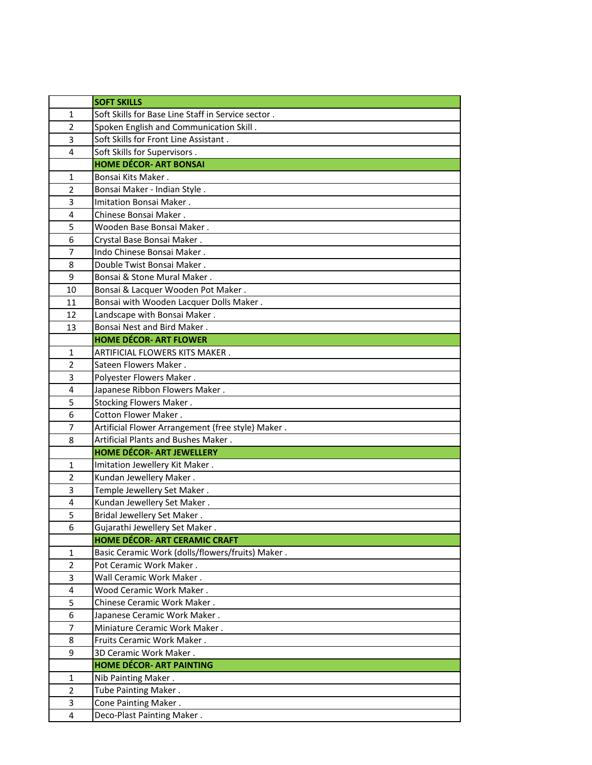|                | <b>SOFT SKILLS</b>                                 |
|----------------|----------------------------------------------------|
| 1              | Soft Skills for Base Line Staff in Service sector. |
| $\overline{2}$ | Spoken English and Communication Skill.            |
| 3              | Soft Skills for Front Line Assistant.              |
| 4              | Soft Skills for Supervisors.                       |
|                | <b>HOME DÉCOR- ART BONSAI</b>                      |
| 1              | Bonsai Kits Maker.                                 |
| $\overline{2}$ | Bonsai Maker - Indian Style.                       |
| 3              | Imitation Bonsai Maker.                            |
| 4              | Chinese Bonsai Maker.                              |
| 5              | Wooden Base Bonsai Maker.                          |
| 6              | Crystal Base Bonsai Maker.                         |
| $\overline{7}$ | Indo Chinese Bonsai Maker.                         |
| 8              | Double Twist Bonsai Maker.                         |
| 9              | Bonsai & Stone Mural Maker.                        |
| 10             | Bonsai & Lacquer Wooden Pot Maker.                 |
| 11             | Bonsai with Wooden Lacquer Dolls Maker.            |
| 12             | Landscape with Bonsai Maker.                       |
| 13             | Bonsai Nest and Bird Maker.                        |
|                | <b>HOME DÉCOR- ART FLOWER</b>                      |
| 1              | ARTIFICIAL FLOWERS KITS MAKER.                     |
| $\overline{2}$ | Sateen Flowers Maker.                              |
| 3              | Polyester Flowers Maker.                           |
| 4              | Japanese Ribbon Flowers Maker.                     |
| 5              | Stocking Flowers Maker.                            |
| 6              | Cotton Flower Maker.                               |
| $\overline{7}$ | Artificial Flower Arrangement (free style) Maker.  |
| 8              | Artificial Plants and Bushes Maker.                |
|                | <b>HOME DÉCOR- ART JEWELLERY</b>                   |
| 1              | Imitation Jewellery Kit Maker.                     |
| $\overline{2}$ | Kundan Jewellery Maker.                            |
| 3              | Temple Jewellery Set Maker.                        |
| 4              | Kundan Jewellery Set Maker.                        |
| 5              | Bridal Jewellery Set Maker.                        |
| 6              | Gujarathi Jewellery Set Maker.                     |
|                | <b>HOME DÉCOR- ART CERAMIC CRAFT</b>               |
| 1              | Basic Ceramic Work (dolls/flowers/fruits) Maker.   |
| $\overline{2}$ | Pot Ceramic Work Maker.                            |
| 3              | Wall Ceramic Work Maker.                           |
| 4              | Wood Ceramic Work Maker.                           |
| 5              | Chinese Ceramic Work Maker.                        |
| 6              | Japanese Ceramic Work Maker.                       |
| $\overline{7}$ | Miniature Ceramic Work Maker.                      |
| 8              | Fruits Ceramic Work Maker.                         |
| 9              | 3D Ceramic Work Maker.                             |
|                | <b>HOME DÉCOR- ART PAINTING</b>                    |
| 1              | Nib Painting Maker.                                |
| $\overline{2}$ | Tube Painting Maker.                               |
| 3              | Cone Painting Maker.                               |
| $\overline{4}$ | Deco-Plast Painting Maker.                         |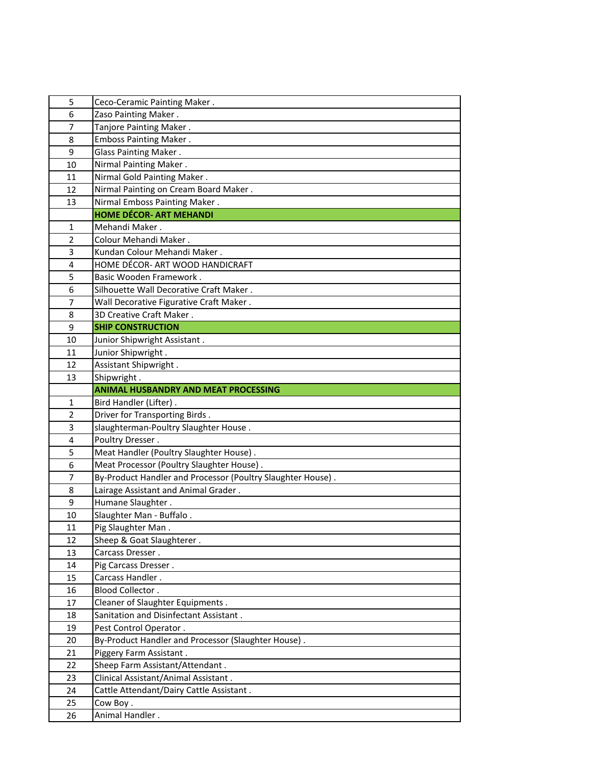| 5              | Ceco-Ceramic Painting Maker.                                |
|----------------|-------------------------------------------------------------|
| 6              | Zaso Painting Maker.                                        |
| $\overline{7}$ | Tanjore Painting Maker.                                     |
| 8              | <b>Emboss Painting Maker.</b>                               |
| 9              | Glass Painting Maker.                                       |
| 10             | Nirmal Painting Maker.                                      |
| 11             | Nirmal Gold Painting Maker.                                 |
| 12             | Nirmal Painting on Cream Board Maker.                       |
| 13             | Nirmal Emboss Painting Maker.                               |
|                | <b>HOME DÉCOR- ART MEHANDI</b>                              |
| $\mathbf{1}$   | Mehandi Maker.                                              |
| $\overline{2}$ | Colour Mehandi Maker.                                       |
| 3              | Kundan Colour Mehandi Maker.                                |
| 4              | HOME DÉCOR- ART WOOD HANDICRAFT                             |
| 5              | Basic Wooden Framework.                                     |
| 6              | Silhouette Wall Decorative Craft Maker.                     |
| 7              | Wall Decorative Figurative Craft Maker.                     |
| 8              | 3D Creative Craft Maker.                                    |
| 9              | <b>SHIP CONSTRUCTION</b>                                    |
| 10             | Junior Shipwright Assistant.                                |
| 11             | Junior Shipwright.                                          |
| 12             | Assistant Shipwright.                                       |
| 13             | Shipwright.                                                 |
|                | <b>ANIMAL HUSBANDRY AND MEAT PROCESSING</b>                 |
| $\mathbf{1}$   | Bird Handler (Lifter).                                      |
|                |                                                             |
| $\overline{2}$ | Driver for Transporting Birds.                              |
| 3              | slaughterman-Poultry Slaughter House.                       |
| 4              | Poultry Dresser.                                            |
| 5              | Meat Handler (Poultry Slaughter House).                     |
| 6              | Meat Processor (Poultry Slaughter House).                   |
| $\overline{7}$ | By-Product Handler and Processor (Poultry Slaughter House). |
| 8              | Lairage Assistant and Animal Grader.                        |
| 9              | Humane Slaughter.                                           |
| 10             | Slaughter Man - Buffalo.                                    |
| 11             | Pig Slaughter Man.                                          |
| 12             | Sheep & Goat Slaughterer.                                   |
| 13             | Carcass Dresser.                                            |
| 14             | Pig Carcass Dresser.                                        |
| 15             | Carcass Handler.                                            |
| 16             | Blood Collector.                                            |
| 17             | Cleaner of Slaughter Equipments.                            |
| 18             | Sanitation and Disinfectant Assistant.                      |
| 19             | Pest Control Operator.                                      |
| 20             | By-Product Handler and Processor (Slaughter House).         |
| 21             | Piggery Farm Assistant.                                     |
| 22             | Sheep Farm Assistant/Attendant.                             |
| 23             | Clinical Assistant/Animal Assistant.                        |
| 24             | Cattle Attendant/Dairy Cattle Assistant.                    |
| 25<br>26       | Cow Boy.<br>Animal Handler.                                 |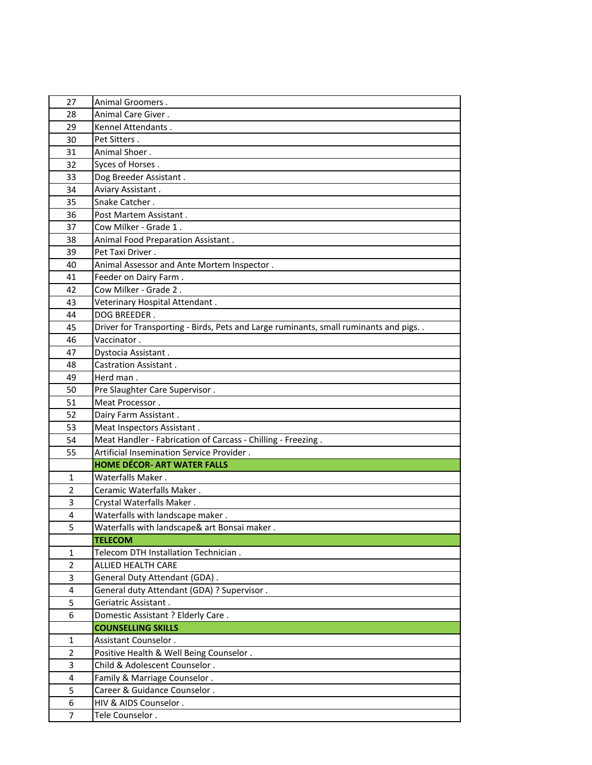| 27                      | Animal Groomers.                                                                       |
|-------------------------|----------------------------------------------------------------------------------------|
| 28                      | Animal Care Giver.                                                                     |
| 29                      | Kennel Attendants.                                                                     |
| 30                      | Pet Sitters.                                                                           |
| 31                      | Animal Shoer.                                                                          |
| 32                      | Syces of Horses.                                                                       |
| 33                      | Dog Breeder Assistant.                                                                 |
| 34                      | Aviary Assistant.                                                                      |
| 35                      | Snake Catcher.                                                                         |
| 36                      | Post Martem Assistant.                                                                 |
| 37                      | Cow Milker - Grade 1.                                                                  |
| 38                      | Animal Food Preparation Assistant.                                                     |
| 39                      | Pet Taxi Driver.                                                                       |
| 40                      | Animal Assessor and Ante Mortem Inspector.                                             |
| 41                      | Feeder on Dairy Farm.                                                                  |
| 42                      | Cow Milker - Grade 2.                                                                  |
| 43                      | Veterinary Hospital Attendant.                                                         |
| 44                      | DOG BREEDER.                                                                           |
| 45                      | Driver for Transporting - Birds, Pets and Large ruminants, small ruminants and pigs. . |
| 46                      | Vaccinator.                                                                            |
| 47                      | Dystocia Assistant.                                                                    |
| 48                      | Castration Assistant.                                                                  |
| 49                      | Herd man.                                                                              |
| 50                      | Pre Slaughter Care Supervisor.                                                         |
| 51                      | Meat Processor.                                                                        |
| 52                      | Dairy Farm Assistant.                                                                  |
| 53                      | Meat Inspectors Assistant.                                                             |
| 54                      | Meat Handler - Fabrication of Carcass - Chilling - Freezing.                           |
| 55                      | Artificial Insemination Service Provider.                                              |
|                         | <b>HOME DÉCOR- ART WATER FALLS</b>                                                     |
| 1                       | Waterfalls Maker.                                                                      |
| $\overline{2}$          | Ceramic Waterfalls Maker.                                                              |
| 3                       | Crystal Waterfalls Maker.                                                              |
| 4                       | Waterfalls with landscape maker.                                                       |
| 5                       | Waterfalls with landscape& art Bonsai maker.                                           |
|                         | <b>TELECOM</b>                                                                         |
| 1                       | Telecom DTH Installation Technician.                                                   |
| $\overline{2}$          | ALLIED HEALTH CARE                                                                     |
| 3                       | General Duty Attendant (GDA).                                                          |
| 4                       | General duty Attendant (GDA) ? Supervisor .                                            |
| 5                       | Geriatric Assistant.                                                                   |
| 6                       | Domestic Assistant ? Elderly Care.                                                     |
|                         | <b>COUNSELLING SKILLS</b>                                                              |
| 1                       | Assistant Counselor.                                                                   |
| $\overline{2}$          | Positive Health & Well Being Counselor.                                                |
| 3                       | Child & Adolescent Counselor.                                                          |
| $\overline{\mathbf{4}}$ | Family & Marriage Counselor.                                                           |
| 5                       | Career & Guidance Counselor.                                                           |
| $\overline{6}$          |                                                                                        |
|                         | HIV & AIDS Counselor.                                                                  |
| $\overline{7}$          | Tele Counselor.                                                                        |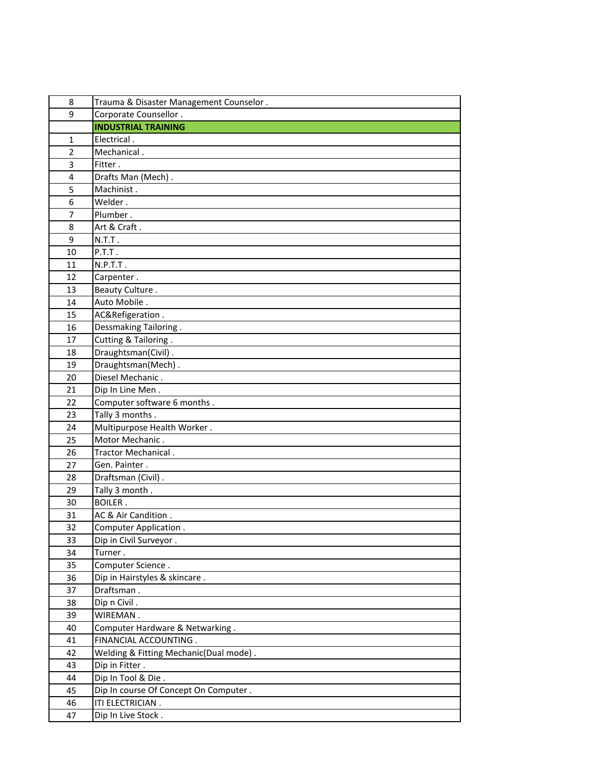| 8              | Trauma & Disaster Management Counselor. |
|----------------|-----------------------------------------|
| 9              | Corporate Counsellor.                   |
|                | <b>INDUSTRIAL TRAINING</b>              |
| $\mathbf{1}$   | Electrical.                             |
| $\overline{2}$ | Mechanical.                             |
| 3              | Fitter.                                 |
| 4              | Drafts Man (Mech).                      |
| 5              | Machinist.                              |
| 6              | Welder.                                 |
| 7              | Plumber.                                |
| 8              | Art & Craft.                            |
| 9              | N.T.T.                                  |
| 10             | P.T.T.                                  |
| 11             | N.P.T.T.                                |
| 12             | Carpenter.                              |
| 13             | Beauty Culture.                         |
| 14             | Auto Mobile.                            |
| 15             | AC&Refigeration.                        |
| 16             | Dessmaking Tailoring.                   |
| 17             | Cutting & Tailoring.                    |
| 18             | Draughtsman(Civil).                     |
| 19             | Draughtsman(Mech).                      |
| 20             | Diesel Mechanic.                        |
| 21             | Dip In Line Men.                        |
| 22             | Computer software 6 months.             |
| 23             | Tally 3 months.                         |
| 24             | Multipurpose Health Worker.             |
| 25             | Motor Mechanic.                         |
| 26             | Tractor Mechanical.                     |
| 27             | Gen. Painter.                           |
| 28             | Draftsman (Civil).                      |
| 29             | Tally 3 month.                          |
| 30             | <b>BOILER.</b>                          |
| 31             | AC & Air Candition.                     |
| 32             | Computer Application.                   |
| 33             | Dip in Civil Surveyor.                  |
| 34             | Turner.                                 |
| 35             | Computer Science.                       |
| 36             | Dip in Hairstyles & skincare.           |
| 37             | Draftsman.                              |
| 38             | Dip n Civil.                            |
| 39             | WIREMAN.                                |
| 40             | Computer Hardware & Netwarking.         |
| 41             | FINANCIAL ACCOUNTING.                   |
| 42             | Welding & Fitting Mechanic(Dual mode).  |
| 43             | Dip in Fitter.                          |
| 44             | Dip In Tool & Die.                      |
| 45             | Dip In course Of Concept On Computer.   |
| 46             | ITI ELECTRICIAN.                        |
| 47             | Dip In Live Stock.                      |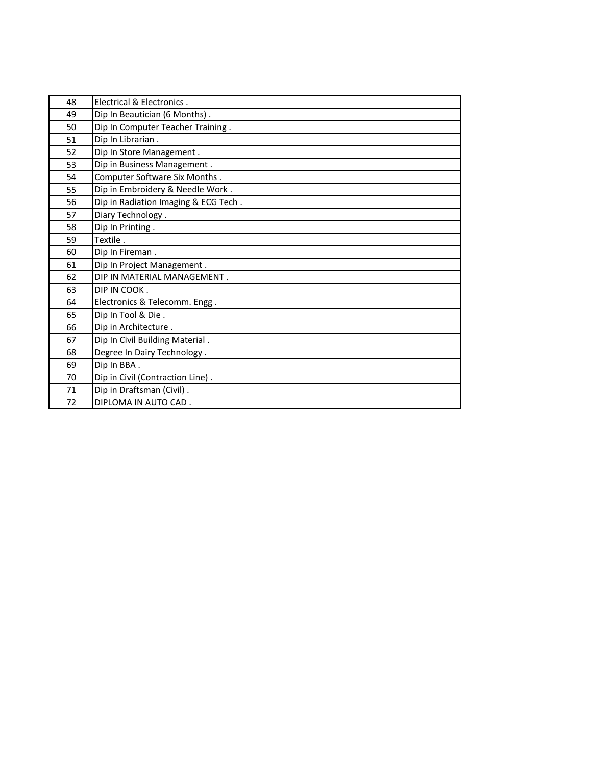| 48 | Electrical & Electronics.            |
|----|--------------------------------------|
| 49 | Dip In Beautician (6 Months).        |
| 50 | Dip In Computer Teacher Training.    |
| 51 | Dip In Librarian.                    |
| 52 | Dip In Store Management.             |
| 53 | Dip in Business Management.          |
| 54 | Computer Software Six Months.        |
| 55 | Dip in Embroidery & Needle Work.     |
| 56 | Dip in Radiation Imaging & ECG Tech. |
| 57 | Diary Technology.                    |
| 58 | Dip In Printing.                     |
| 59 | Textile.                             |
| 60 | Dip In Fireman.                      |
| 61 | Dip In Project Management.           |
| 62 | DIP IN MATERIAL MANAGEMENT.          |
| 63 | DIP IN COOK.                         |
| 64 | Electronics & Telecomm. Engg.        |
| 65 | Dip In Tool & Die.                   |
| 66 | Dip in Architecture.                 |
| 67 | Dip In Civil Building Material.      |
| 68 | Degree In Dairy Technology.          |
| 69 | Dip In BBA.                          |
| 70 | Dip in Civil (Contraction Line).     |
| 71 | Dip in Draftsman (Civil).            |
| 72 | DIPLOMA IN AUTO CAD.                 |